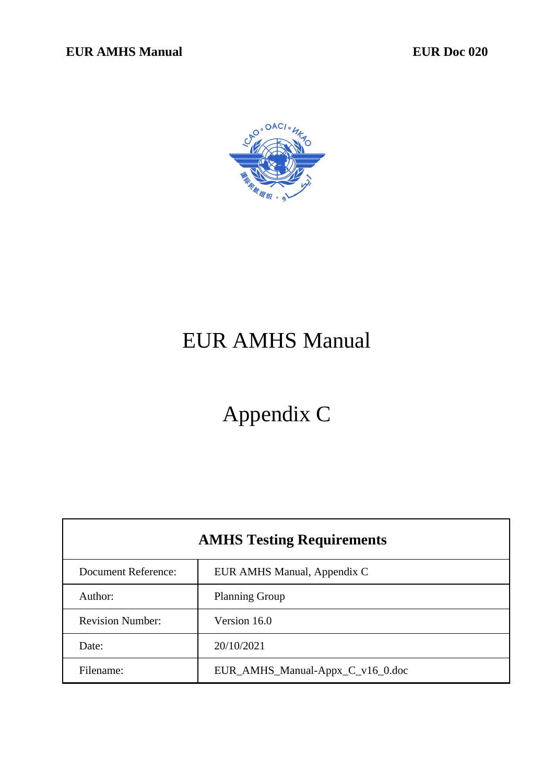

# EUR AMHS Manual

# Appendix C

| <b>AMHS Testing Requirements</b> |                                  |  |  |
|----------------------------------|----------------------------------|--|--|
| <b>Document Reference:</b>       | EUR AMHS Manual, Appendix C      |  |  |
| Author:                          | <b>Planning Group</b>            |  |  |
| <b>Revision Number:</b>          | Version 16.0                     |  |  |
| Date:                            | 20/10/2021                       |  |  |
| Filename:                        | EUR_AMHS_Manual-Appx_C_v16_0.doc |  |  |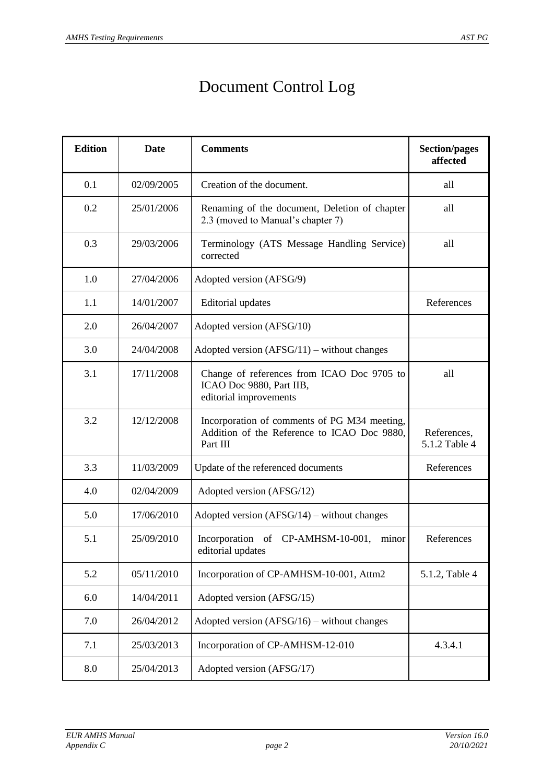## Document Control Log

| <b>Edition</b> | <b>Date</b> | <b>Comments</b>                                                                                         | <b>Section/pages</b><br>affected |
|----------------|-------------|---------------------------------------------------------------------------------------------------------|----------------------------------|
| 0.1            | 02/09/2005  | Creation of the document.                                                                               | all                              |
| 0.2            | 25/01/2006  | Renaming of the document, Deletion of chapter<br>2.3 (moved to Manual's chapter 7)                      | all                              |
| 0.3            | 29/03/2006  | Terminology (ATS Message Handling Service)<br>corrected                                                 | all                              |
| 1.0            | 27/04/2006  | Adopted version (AFSG/9)                                                                                |                                  |
| 1.1            | 14/01/2007  | <b>Editorial</b> updates                                                                                | References                       |
| 2.0            | 26/04/2007  | Adopted version (AFSG/10)                                                                               |                                  |
| 3.0            | 24/04/2008  | Adopted version $(AFSG/11)$ – without changes                                                           |                                  |
| 3.1            | 17/11/2008  | Change of references from ICAO Doc 9705 to<br>ICAO Doc 9880, Part IIB,<br>editorial improvements        | all                              |
| 3.2            | 12/12/2008  | Incorporation of comments of PG M34 meeting,<br>Addition of the Reference to ICAO Doc 9880,<br>Part III | References,<br>5.1.2 Table 4     |
| 3.3            | 11/03/2009  | Update of the referenced documents                                                                      | References                       |
| 4.0            | 02/04/2009  | Adopted version (AFSG/12)                                                                               |                                  |
| 5.0            | 17/06/2010  | Adopted version $(AFSG/14)$ – without changes                                                           |                                  |
| 5.1            | 25/09/2010  | Incorporation of CP-AMHSM-10-001,<br>minor<br>editorial updates                                         | References                       |
| 5.2            | 05/11/2010  | Incorporation of CP-AMHSM-10-001, Attm2                                                                 | 5.1.2, Table 4                   |
| 6.0            | 14/04/2011  | Adopted version (AFSG/15)                                                                               |                                  |
| 7.0            | 26/04/2012  | Adopted version $(AFSG/16)$ – without changes                                                           |                                  |
| 7.1            | 25/03/2013  | Incorporation of CP-AMHSM-12-010                                                                        | 4.3.4.1                          |
| 8.0            | 25/04/2013  | Adopted version (AFSG/17)                                                                               |                                  |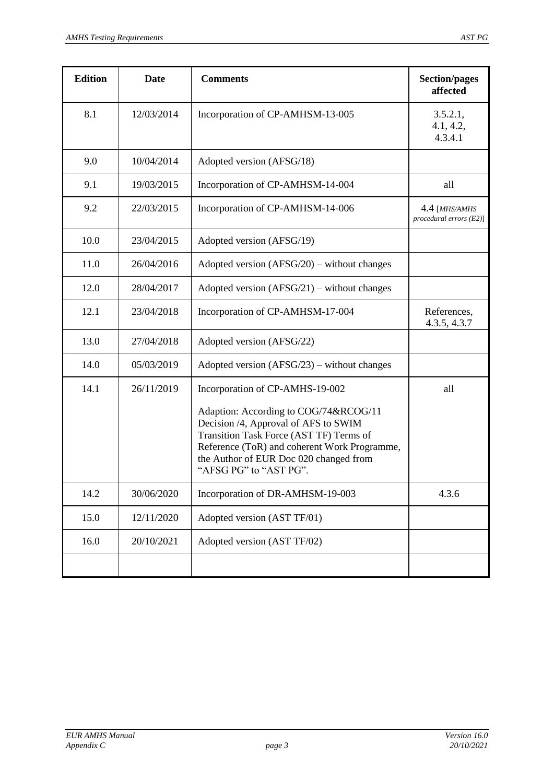| <b>Edition</b> | <b>Date</b> | <b>Comments</b>                                                                                                                                                                                                                                                                 | <b>Section/pages</b><br>affected            |
|----------------|-------------|---------------------------------------------------------------------------------------------------------------------------------------------------------------------------------------------------------------------------------------------------------------------------------|---------------------------------------------|
| 8.1            | 12/03/2014  | Incorporation of CP-AMHSM-13-005                                                                                                                                                                                                                                                | 3.5.2.1,<br>4.1, 4.2,<br>4.3.4.1            |
| 9.0            | 10/04/2014  | Adopted version (AFSG/18)                                                                                                                                                                                                                                                       |                                             |
| 9.1            | 19/03/2015  | Incorporation of CP-AMHSM-14-004                                                                                                                                                                                                                                                | all                                         |
| 9.2            | 22/03/2015  | Incorporation of CP-AMHSM-14-006                                                                                                                                                                                                                                                | 4.4 [MHS/AMHS<br>$procedural errors (E2)$ ] |
| 10.0           | 23/04/2015  | Adopted version (AFSG/19)                                                                                                                                                                                                                                                       |                                             |
| 11.0           | 26/04/2016  | Adopted version $(AFSG/20)$ – without changes                                                                                                                                                                                                                                   |                                             |
| 12.0           | 28/04/2017  | Adopted version $(AFSG/21)$ – without changes                                                                                                                                                                                                                                   |                                             |
| 12.1           | 23/04/2018  | Incorporation of CP-AMHSM-17-004                                                                                                                                                                                                                                                | References,<br>4.3.5, 4.3.7                 |
| 13.0           | 27/04/2018  | Adopted version (AFSG/22)                                                                                                                                                                                                                                                       |                                             |
| 14.0           | 05/03/2019  | Adopted version $(AFSG/23)$ – without changes                                                                                                                                                                                                                                   |                                             |
| 14.1           | 26/11/2019  | Incorporation of CP-AMHS-19-002<br>Adaption: According to COG/74&RCOG/11<br>Decision /4, Approval of AFS to SWIM<br>Transition Task Force (AST TF) Terms of<br>Reference (ToR) and coherent Work Programme,<br>the Author of EUR Doc 020 changed from<br>"AFSG PG" to "AST PG". | all                                         |
| 14.2           | 30/06/2020  | Incorporation of DR-AMHSM-19-003                                                                                                                                                                                                                                                | 4.3.6                                       |
| 15.0           | 12/11/2020  | Adopted version (AST TF/01)                                                                                                                                                                                                                                                     |                                             |
| 16.0           | 20/10/2021  | Adopted version (AST TF/02)                                                                                                                                                                                                                                                     |                                             |
|                |             |                                                                                                                                                                                                                                                                                 |                                             |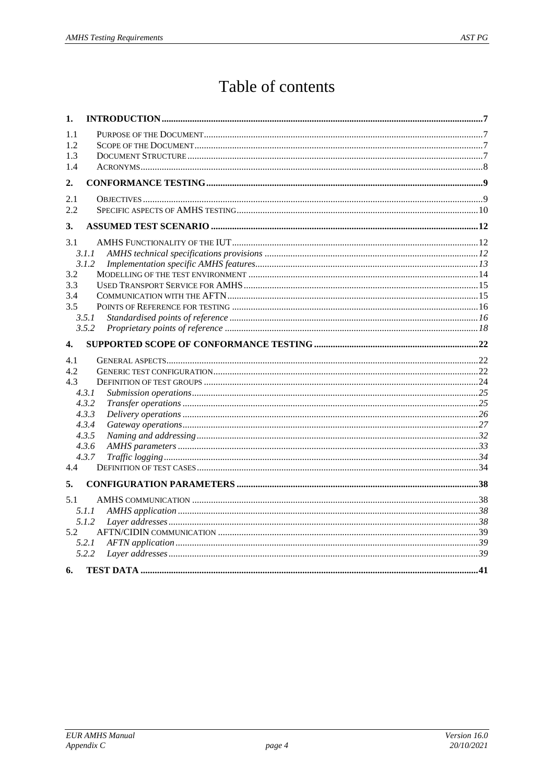## Table of contents

| 1.               |                |  |
|------------------|----------------|--|
| 1.1              |                |  |
| 1.2              |                |  |
| 1.3              |                |  |
| 1.4              |                |  |
| 2.               |                |  |
| 2.1              |                |  |
| 2.2              |                |  |
| 3.               |                |  |
| 3.1              |                |  |
|                  | 3.1.1          |  |
|                  | 3.1.2          |  |
| 3.2              |                |  |
| 3.3              |                |  |
| 3.4              |                |  |
| 3.5              |                |  |
|                  | 3.5.1          |  |
|                  | 3.5.2          |  |
| $\overline{4}$ . |                |  |
| 4.1              |                |  |
| 4.2              |                |  |
| 4.3              |                |  |
|                  | 4.3.1          |  |
|                  | 4.3.2          |  |
|                  | 4.3.3          |  |
|                  | 4.3.4          |  |
|                  | 4.3.5<br>4.3.6 |  |
|                  | 4.3.7          |  |
| 4.4              |                |  |
|                  |                |  |
| 5.               |                |  |
| 5.1              |                |  |
|                  | 5.1.1          |  |
|                  | 5.1.2          |  |
| 5.2              |                |  |
|                  | 5.2.1          |  |
|                  | 5.2.2          |  |
|                  |                |  |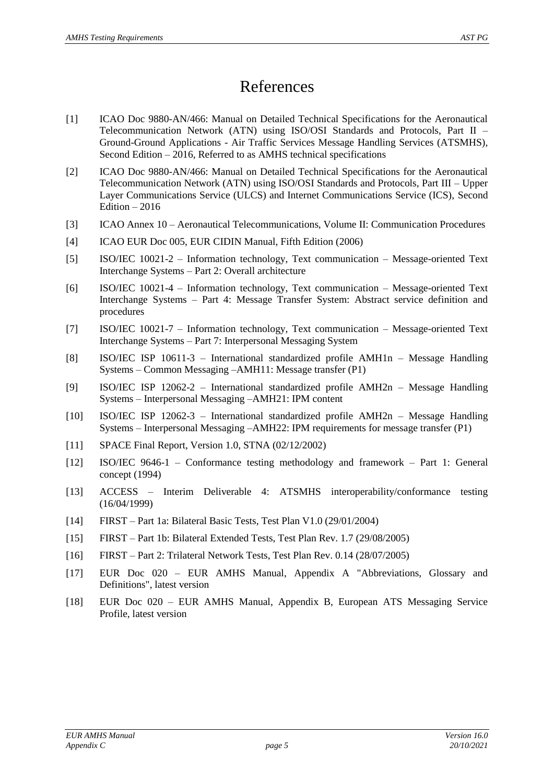## References

- <span id="page-4-3"></span>[1] ICAO Doc 9880-AN/466: Manual on Detailed Technical Specifications for the Aeronautical Telecommunication Network (ATN) using ISO/OSI Standards and Protocols, Part II – Ground-Ground Applications - Air Traffic Services Message Handling Services (ATSMHS), Second Edition – 2016, Referred to as AMHS technical specifications
- <span id="page-4-14"></span>[2] ICAO Doc 9880-AN/466: Manual on Detailed Technical Specifications for the Aeronautical Telecommunication Network (ATN) using ISO/OSI Standards and Protocols, Part III – Upper Layer Communications Service (ULCS) and Internet Communications Service (ICS), Second Edition  $-2016$
- <span id="page-4-7"></span>[3] ICAO Annex 10 – Aeronautical Telecommunications, Volume II: Communication Procedures
- <span id="page-4-8"></span>[4] ICAO EUR Doc 005, EUR CIDIN Manual, Fifth Edition (2006)
- <span id="page-4-4"></span>[5] ISO/IEC 10021-2 – Information technology, Text communication – Message-oriented Text Interchange Systems – Part 2: Overall architecture
- <span id="page-4-5"></span>[6] ISO/IEC 10021-4 – Information technology, Text communication – Message-oriented Text Interchange Systems – Part 4: Message Transfer System: Abstract service definition and procedures
- <span id="page-4-6"></span>[7] ISO/IEC 10021-7 – Information technology, Text communication – Message-oriented Text Interchange Systems – Part 7: Interpersonal Messaging System
- <span id="page-4-9"></span>[8] ISO/IEC ISP 10611-3 – International standardized profile AMH1n – Message Handling Systems – Common Messaging –AMH11: Message transfer (P1)
- <span id="page-4-11"></span>[9] ISO/IEC ISP 12062-2 – International standardized profile AMH2n – Message Handling Systems – Interpersonal Messaging –AMH21: IPM content
- <span id="page-4-10"></span>[10] ISO/IEC ISP 12062-3 – International standardized profile AMH2n – Message Handling Systems – Interpersonal Messaging –AMH22: IPM requirements for message transfer (P1)
- <span id="page-4-12"></span>[11] SPACE Final Report, Version 1.0, STNA (02/12/2002)
- <span id="page-4-1"></span>[12] ISO/IEC 9646-1 – Conformance testing methodology and framework – Part 1: General concept (1994)
- <span id="page-4-2"></span>[13] ACCESS – Interim Deliverable 4: ATSMHS interoperability/conformance testing (16/04/1999)
- [14] FIRST Part 1a: Bilateral Basic Tests, Test Plan V1.0 (29/01/2004)
- [15] FIRST Part 1b: Bilateral Extended Tests, Test Plan Rev. 1.7 (29/08/2005)
- [16] FIRST Part 2: Trilateral Network Tests, Test Plan Rev. 0.14 (28/07/2005)
- <span id="page-4-0"></span>[17] EUR Doc 020 – EUR AMHS Manual, Appendix A "Abbreviations, Glossary and Definitions", latest version
- <span id="page-4-13"></span>[18] EUR Doc 020 – EUR AMHS Manual, Appendix B, European ATS Messaging Service Profile, latest version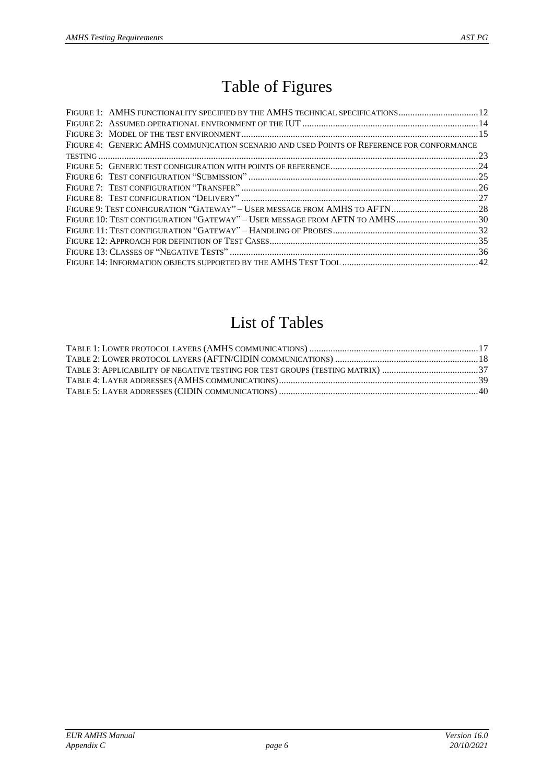## Table of Figures

| FIGURE 1: AMHS FUNCTIONALITY SPECIFIED BY THE AMHS TECHNICAL SPECIFICATIONS 12             |  |
|--------------------------------------------------------------------------------------------|--|
|                                                                                            |  |
|                                                                                            |  |
| FIGURE 4: GENERIC AMHS COMMUNICATION SCENARIO AND USED POINTS OF REFERENCE FOR CONFORMANCE |  |
|                                                                                            |  |
|                                                                                            |  |
|                                                                                            |  |
|                                                                                            |  |
|                                                                                            |  |
|                                                                                            |  |
| FIGURE 10: TEST CONFIGURATION "GATEWAY" - USER MESSAGE FROM AFTN TO AMHS30                 |  |
|                                                                                            |  |
|                                                                                            |  |
|                                                                                            |  |
|                                                                                            |  |

## List of Tables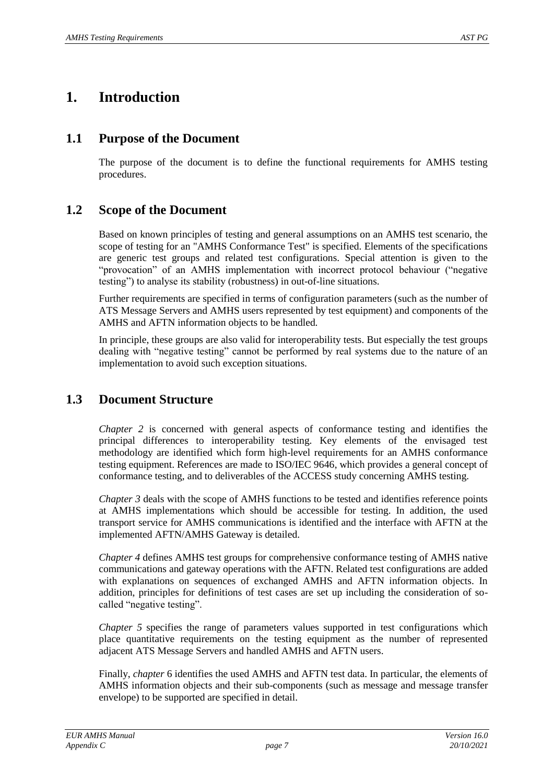## **1. Introduction**

#### **1.1 Purpose of the Document**

The purpose of the document is to define the functional requirements for AMHS testing procedures.

#### **1.2 Scope of the Document**

Based on known principles of testing and general assumptions on an AMHS test scenario, the scope of testing for an "AMHS Conformance Test" is specified. Elements of the specifications are generic test groups and related test configurations. Special attention is given to the "provocation" of an AMHS implementation with incorrect protocol behaviour ("negative testing") to analyse its stability (robustness) in out-of-line situations.

Further requirements are specified in terms of configuration parameters (such as the number of ATS Message Servers and AMHS users represented by test equipment) and components of the AMHS and AFTN information objects to be handled.

In principle, these groups are also valid for interoperability tests. But especially the test groups dealing with "negative testing" cannot be performed by real systems due to the nature of an implementation to avoid such exception situations.

### **1.3 Document Structure**

*Chapter [2](#page-8-0)* is concerned with general aspects of conformance testing and identifies the principal differences to interoperability testing. Key elements of the envisaged test methodology are identified which form high-level requirements for an AMHS conformance testing equipment. References are made to ISO/IEC 9646, which provides a general concept of conformance testing, and to deliverables of the ACCESS study concerning AMHS testing.

*Chapter [3](#page-11-1)* deals with the scope of AMHS functions to be tested and identifies reference points at AMHS implementations which should be accessible for testing. In addition, the used transport service for AMHS communications is identified and the interface with AFTN at the implemented AFTN/AMHS Gateway is detailed.

*Chapter [4](#page-21-0)* defines AMHS test groups for comprehensive conformance testing of AMHS native communications and gateway operations with the AFTN. Related test configurations are added with explanations on sequences of exchanged AMHS and AFTN information objects. In addition, principles for definitions of test cases are set up including the consideration of socalled "negative testing".

*Chapter* [5](#page-37-0) specifies the range of parameters values supported in test configurations which place quantitative requirements on the testing equipment as the number of represented adjacent ATS Message Servers and handled AMHS and AFTN users.

Finally, *chapter* [6](#page-40-0) identifies the used AMHS and AFTN test data. In particular, the elements of AMHS information objects and their sub-components (such as message and message transfer envelope) to be supported are specified in detail.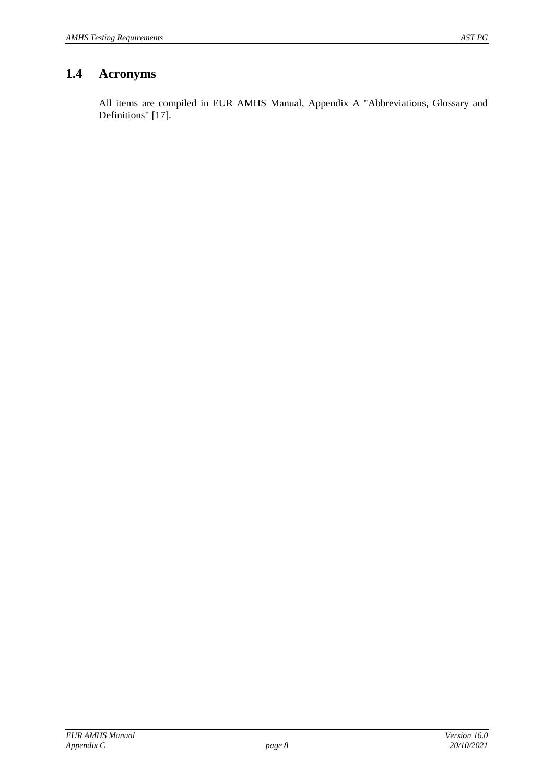## **1.4 Acronyms**

All items are compiled in EUR AMHS Manual, Appendix A "Abbreviations, Glossary and Definitions" [\[17\]](#page-4-0).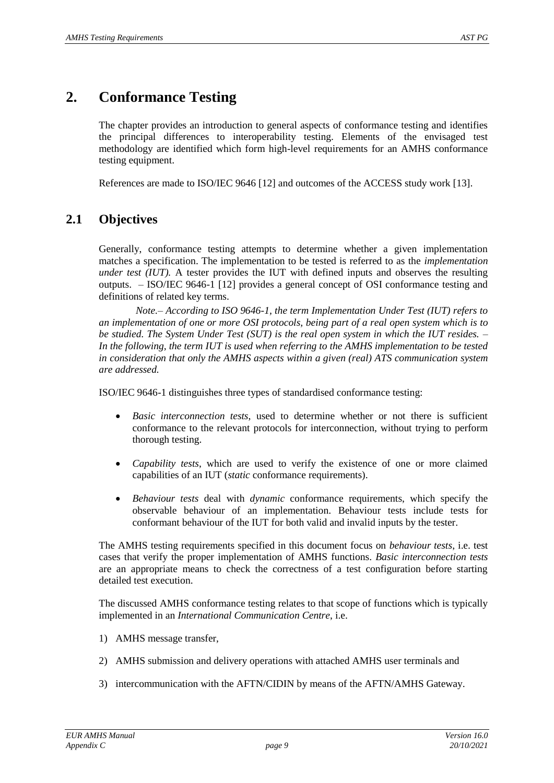## <span id="page-8-0"></span>**2. Conformance Testing**

The chapter provides an introduction to general aspects of conformance testing and identifies the principal differences to interoperability testing. Elements of the envisaged test methodology are identified which form high-level requirements for an AMHS conformance testing equipment.

References are made to ISO/IEC 9646 [\[12\]](#page-4-1) and outcomes of the ACCESS study work [\[13\]](#page-4-2).

### **2.1 Objectives**

Generally, conformance testing attempts to determine whether a given implementation matches a specification. The implementation to be tested is referred to as the *implementation under test (IUT).* A tester provides the IUT with defined inputs and observes the resulting outputs. – ISO/IEC 9646-1 [\[12\]](#page-4-1) provides a general concept of OSI conformance testing and definitions of related key terms.

*Note.– According to ISO 9646-1, the term Implementation Under Test (IUT) refers to an implementation of one or more OSI protocols, being part of a real open system which is to be studied. The System Under Test (SUT) is the real open system in which the IUT resides. – In the following, the term IUT is used when referring to the AMHS implementation to be tested in consideration that only the AMHS aspects within a given (real) ATS communication system are addressed.*

ISO/IEC 9646-1 distinguishes three types of standardised conformance testing:

- *Basic interconnection tests*, used to determine whether or not there is sufficient conformance to the relevant protocols for interconnection, without trying to perform thorough testing.
- *Capability tests*, which are used to verify the existence of one or more claimed capabilities of an IUT (*static* conformance requirements).
- *Behaviour tests* deal with *dynamic* conformance requirements, which specify the observable behaviour of an implementation. Behaviour tests include tests for conformant behaviour of the IUT for both valid and invalid inputs by the tester.

The AMHS testing requirements specified in this document focus on *behaviour tests*, i.e. test cases that verify the proper implementation of AMHS functions. *Basic interconnection tests* are an appropriate means to check the correctness of a test configuration before starting detailed test execution.

The discussed AMHS conformance testing relates to that scope of functions which is typically implemented in an *International Communication Centre*, i.e.

- 1) AMHS message transfer,
- 2) AMHS submission and delivery operations with attached AMHS user terminals and
- 3) intercommunication with the AFTN/CIDIN by means of the AFTN/AMHS Gateway.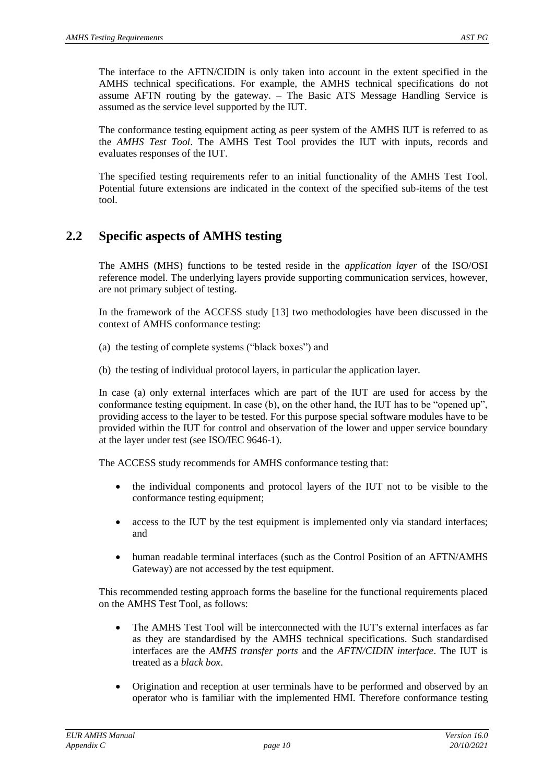The interface to the AFTN/CIDIN is only taken into account in the extent specified in the AMHS technical specifications. For example, the AMHS technical specifications do not assume AFTN routing by the gateway. – The Basic ATS Message Handling Service is assumed as the service level supported by the IUT.

The conformance testing equipment acting as peer system of the AMHS IUT is referred to as the *AMHS Test Tool*. The AMHS Test Tool provides the IUT with inputs, records and evaluates responses of the IUT.

The specified testing requirements refer to an initial functionality of the AMHS Test Tool. Potential future extensions are indicated in the context of the specified sub-items of the test tool.

### **2.2 Specific aspects of AMHS testing**

The AMHS (MHS) functions to be tested reside in the *application layer* of the ISO/OSI reference model. The underlying layers provide supporting communication services, however, are not primary subject of testing.

In the framework of the ACCESS study [\[13\]](#page-4-2) two methodologies have been discussed in the context of AMHS conformance testing:

- (a) the testing of complete systems ("black boxes") and
- (b) the testing of individual protocol layers, in particular the application layer.

In case (a) only external interfaces which are part of the IUT are used for access by the conformance testing equipment. In case (b), on the other hand, the IUT has to be "opened up", providing access to the layer to be tested. For this purpose special software modules have to be provided within the IUT for control and observation of the lower and upper service boundary at the layer under test (see ISO/IEC 9646-1).

The ACCESS study recommends for AMHS conformance testing that:

- the individual components and protocol layers of the IUT not to be visible to the conformance testing equipment;
- access to the IUT by the test equipment is implemented only via standard interfaces; and
- human readable terminal interfaces (such as the Control Position of an AFTN/AMHS Gateway) are not accessed by the test equipment.

This recommended testing approach forms the baseline for the functional requirements placed on the AMHS Test Tool, as follows:

- The AMHS Test Tool will be interconnected with the IUT's external interfaces as far as they are standardised by the AMHS technical specifications. Such standardised interfaces are the *AMHS transfer ports* and the *AFTN/CIDIN interface*. The IUT is treated as a *black box*.
- Origination and reception at user terminals have to be performed and observed by an operator who is familiar with the implemented HMI. Therefore conformance testing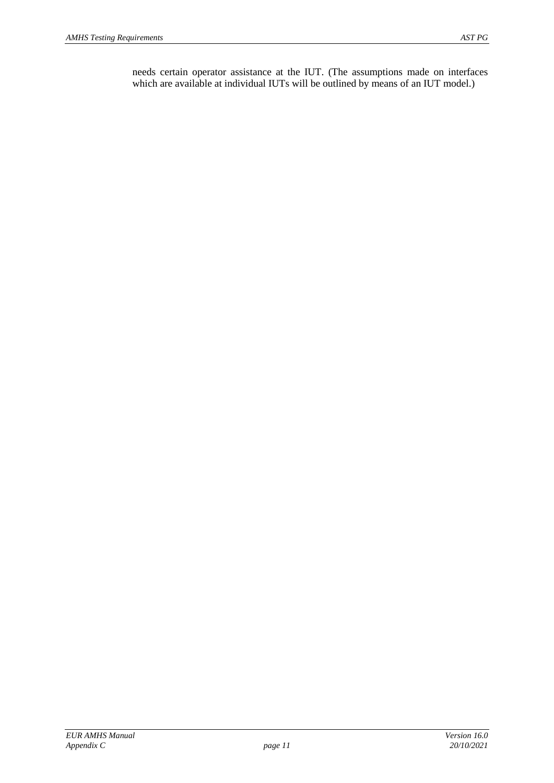needs certain operator assistance at the IUT. (The assumptions made on interfaces which are available at individual IUTs will be outlined by means of an IUT model.)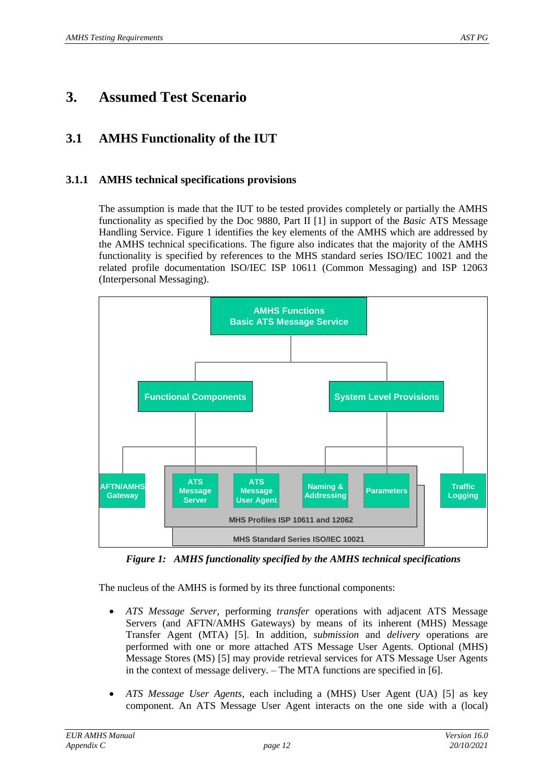## <span id="page-11-2"></span><span id="page-11-1"></span>**3. Assumed Test Scenario**

## <span id="page-11-3"></span>**3.1 AMHS Functionality of the IUT**

#### **3.1.1 AMHS technical specifications provisions**

The assumption is made that the IUT to be tested provides completely or partially the AMHS functionality as specified by the Doc 9880, Part II [\[1\]](#page-4-3) in support of the *Basic* ATS Message Handling Service. [Figure 1](#page-11-0) identifies the key elements of the AMHS which are addressed by the AMHS technical specifications. The figure also indicates that the majority of the AMHS functionality is specified by references to the MHS standard series ISO/IEC 10021 and the related profile documentation ISO/IEC ISP 10611 (Common Messaging) and ISP 12063 (Interpersonal Messaging).



*Figure 1: AMHS functionality specified by the AMHS technical specifications*

<span id="page-11-0"></span>The nucleus of the AMHS is formed by its three functional components:

- *ATS Message Server,* performing *transfer* operations with adjacent ATS Message Servers (and AFTN/AMHS Gateways) by means of its inherent (MHS) Message Transfer Agent (MTA) [\[5\]](#page-4-4). In addition, *submission* and *delivery* operations are performed with one or more attached ATS Message User Agents. Optional (MHS) Message Stores (MS) [\[5\]](#page-4-4) may provide retrieval services for ATS Message User Agents in the context of message delivery. – The MTA functions are specified in [\[6\]](#page-4-5).
- *ATS Message User Agents,* each including a (MHS) User Agent (UA) [\[5\]](#page-4-4) as key component. An ATS Message User Agent interacts on the one side with a (local)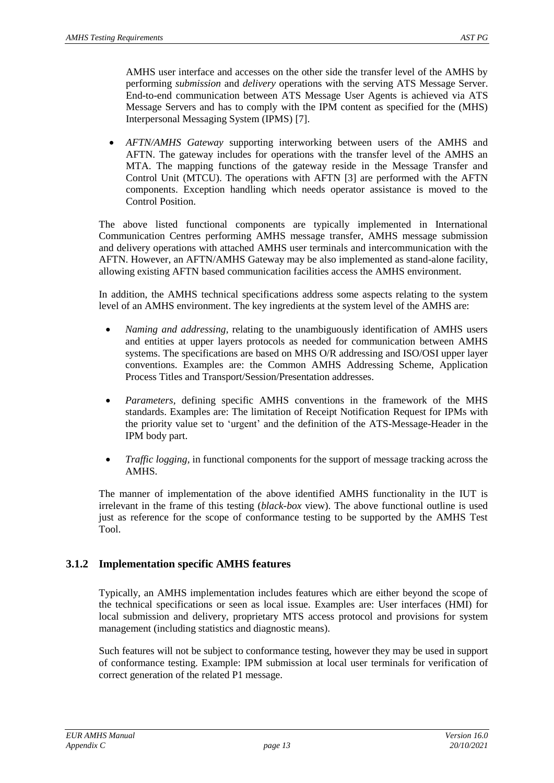AMHS user interface and accesses on the other side the transfer level of the AMHS by performing *submission* and *delivery* operations with the serving ATS Message Server. End-to-end communication between ATS Message User Agents is achieved via ATS Message Servers and has to comply with the IPM content as specified for the (MHS) Interpersonal Messaging System (IPMS) [\[7\]](#page-4-6).

 *AFTN/AMHS Gateway* supporting interworking between users of the AMHS and AFTN. The gateway includes for operations with the transfer level of the AMHS an MTA. The mapping functions of the gateway reside in the Message Transfer and Control Unit (MTCU). The operations with AFTN [\[3\]](#page-4-7) are performed with the AFTN components. Exception handling which needs operator assistance is moved to the Control Position.

The above listed functional components are typically implemented in International Communication Centres performing AMHS message transfer, AMHS message submission and delivery operations with attached AMHS user terminals and intercommunication with the AFTN. However, an AFTN/AMHS Gateway may be also implemented as stand-alone facility, allowing existing AFTN based communication facilities access the AMHS environment.

In addition, the AMHS technical specifications address some aspects relating to the system level of an AMHS environment. The key ingredients at the system level of the AMHS are:

- *Naming and addressing,* relating to the unambiguously identification of AMHS users and entities at upper layers protocols as needed for communication between AMHS systems. The specifications are based on MHS O/R addressing and ISO/OSI upper layer conventions. Examples are: the Common AMHS Addressing Scheme, Application Process Titles and Transport/Session/Presentation addresses.
- *Parameters,* defining specific AMHS conventions in the framework of the MHS standards. Examples are: The limitation of Receipt Notification Request for IPMs with the priority value set to 'urgent' and the definition of the ATS-Message-Header in the IPM body part.
- *Traffic logging,* in functional components for the support of message tracking across the AMHS.

The manner of implementation of the above identified AMHS functionality in the IUT is irrelevant in the frame of this testing (*black-box* view). The above functional outline is used just as reference for the scope of conformance testing to be supported by the AMHS Test Tool.

#### **3.1.2 Implementation specific AMHS features**

Typically, an AMHS implementation includes features which are either beyond the scope of the technical specifications or seen as local issue. Examples are: User interfaces (HMI) for local submission and delivery, proprietary MTS access protocol and provisions for system management (including statistics and diagnostic means).

Such features will not be subject to conformance testing, however they may be used in support of conformance testing. Example: IPM submission at local user terminals for verification of correct generation of the related P1 message.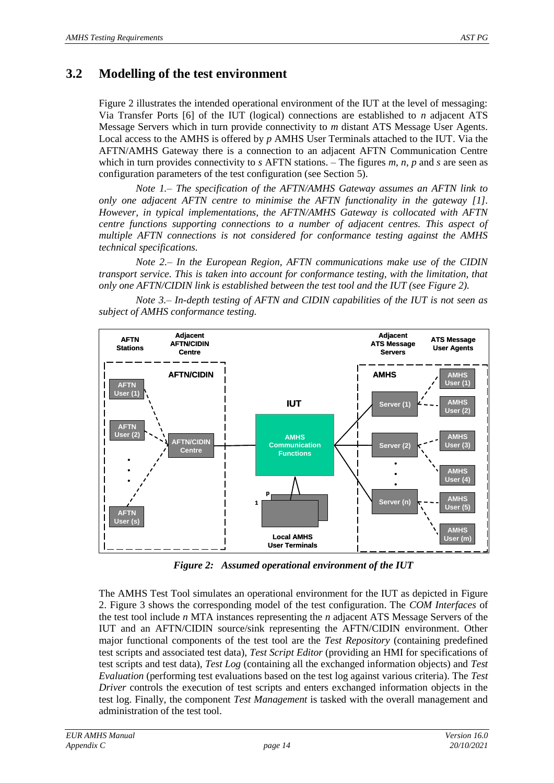## <span id="page-13-1"></span>**3.2 Modelling of the test environment**

[Figure 2](#page-13-0) illustrates the intended operational environment of the IUT at the level of messaging: Via Transfer Ports [\[6\]](#page-4-5) of the IUT (logical) connections are established to *n* adjacent ATS Message Servers which in turn provide connectivity to *m* distant ATS Message User Agents. Local access to the AMHS is offered by *p* AMHS User Terminals attached to the IUT. Via the AFTN/AMHS Gateway there is a connection to an adjacent AFTN Communication Centre which in turn provides connectivity to *s* AFTN stations. – The figures *m*, *n*, *p* and *s* are seen as configuration parameters of the test configuration (see Section [5\)](#page-37-0).

*Note 1.– The specification of the AFTN/AMHS Gateway assumes an AFTN link to only one adjacent AFTN centre to minimise the AFTN functionality in the gateway [\[1\]](#page-4-3). However, in typical implementations, the AFTN/AMHS Gateway is collocated with AFTN centre functions supporting connections to a number of adjacent centres. This aspect of multiple AFTN connections is not considered for conformance testing against the AMHS technical specifications.*

*Note 2.– In the European Region, AFTN communications make use of the CIDIN transport service. This is taken into account for conformance testing, with the limitation, that only one AFTN/CIDIN link is established between the test tool and the IUT (see [Figure 2\)](#page-13-0).*

*Note 3.– In-depth testing of AFTN and CIDIN capabilities of the IUT is not seen as subject of AMHS conformance testing.*



*Figure 2: Assumed operational environment of the IUT*

<span id="page-13-0"></span>The AMHS Test Tool simulates an operational environment for the IUT as depicted in [Figure](#page-13-0)  [2.](#page-13-0) [Figure 3](#page-14-0) shows the corresponding model of the test configuration. The *COM Interfaces* of the test tool include *n* MTA instances representing the *n* adjacent ATS Message Servers of the IUT and an AFTN/CIDIN source/sink representing the AFTN/CIDIN environment. Other major functional components of the test tool are the *Test Repository* (containing predefined test scripts and associated test data), *Test Script Editor* (providing an HMI for specifications of test scripts and test data), *Test Log* (containing all the exchanged information objects) and *Test Evaluation* (performing test evaluations based on the test log against various criteria). The *Test Driver* controls the execution of test scripts and enters exchanged information objects in the test log. Finally, the component *Test Management* is tasked with the overall management and administration of the test tool.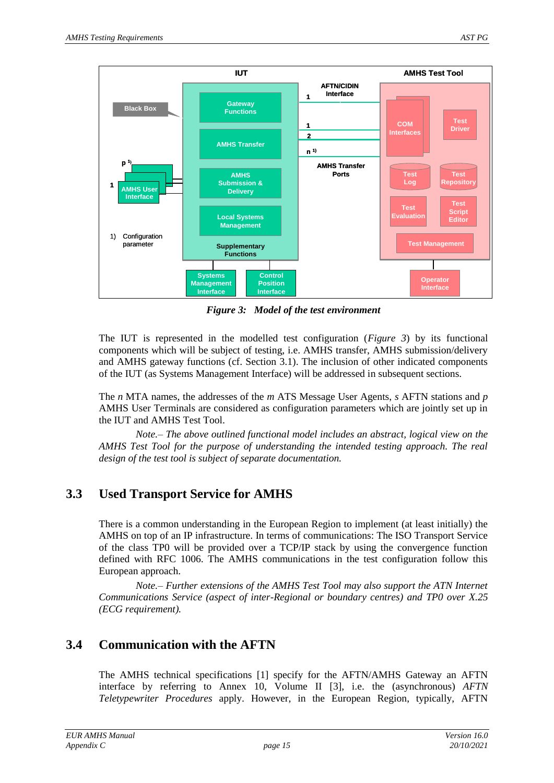

*Figure 3: Model of the test environment*

<span id="page-14-0"></span>The IUT is represented in the modelled test configuration (*[Figure 3](#page-14-0)*) by its functional components which will be subject of testing, i.e. AMHS transfer, AMHS submission/delivery and AMHS gateway functions (cf. Section [3.1\)](#page-11-2). The inclusion of other indicated components of the IUT (as Systems Management Interface) will be addressed in subsequent sections.

The *n* MTA names, the addresses of the *m* ATS Message User Agents, *s* AFTN stations and *p* AMHS User Terminals are considered as configuration parameters which are jointly set up in the IUT and AMHS Test Tool.

*Note.– The above outlined functional model includes an abstract, logical view on the AMHS Test Tool for the purpose of understanding the intended testing approach. The real design of the test tool is subject of separate documentation.*

## <span id="page-14-2"></span>**3.3 Used Transport Service for AMHS**

There is a common understanding in the European Region to implement (at least initially) the AMHS on top of an IP infrastructure. In terms of communications: The ISO Transport Service of the class TP0 will be provided over a TCP/IP stack by using the convergence function defined with RFC 1006. The AMHS communications in the test configuration follow this European approach.

*Note.– Further extensions of the AMHS Test Tool may also support the ATN Internet Communications Service (aspect of inter-Regional or boundary centres) and TP0 over X.25 (ECG requirement).*

## <span id="page-14-1"></span>**3.4 Communication with the AFTN**

The AMHS technical specifications [\[1\]](#page-4-3) specify for the AFTN/AMHS Gateway an AFTN interface by referring to Annex 10, Volume II [\[3\]](#page-4-7), i.e. the (asynchronous) *AFTN Teletypewriter Procedures* apply. However, in the European Region, typically, AFTN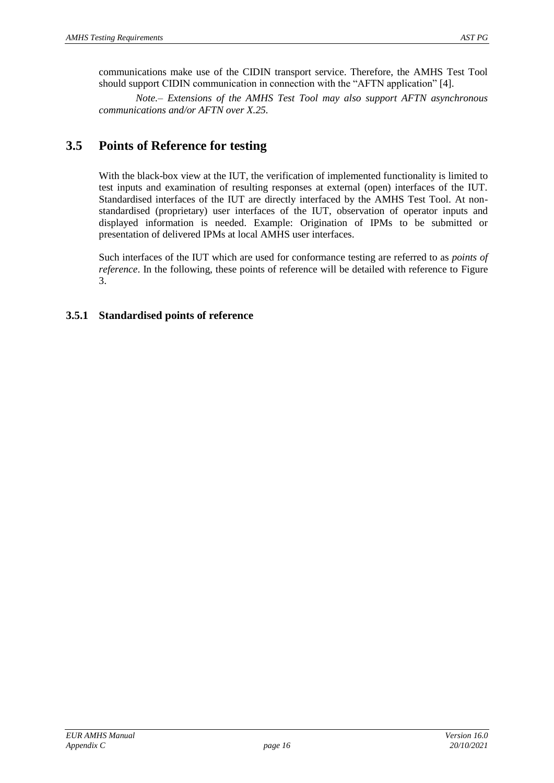communications make use of the CIDIN transport service. Therefore, the AMHS Test Tool should support CIDIN communication in connection with the "AFTN application" [\[4\]](#page-4-8).

*Note.– Extensions of the AMHS Test Tool may also support AFTN asynchronous communications and/or AFTN over X.25.*

## <span id="page-15-0"></span>**3.5 Points of Reference for testing**

With the black-box view at the IUT, the verification of implemented functionality is limited to test inputs and examination of resulting responses at external (open) interfaces of the IUT. Standardised interfaces of the IUT are directly interfaced by the AMHS Test Tool. At nonstandardised (proprietary) user interfaces of the IUT, observation of operator inputs and displayed information is needed. Example: Origination of IPMs to be submitted or presentation of delivered IPMs at local AMHS user interfaces.

Such interfaces of the IUT which are used for conformance testing are referred to as *points of reference*. In the following, these points of reference will be detailed with reference to [Figure](#page-14-0)  [3.](#page-14-0)

#### **3.5.1 Standardised points of reference**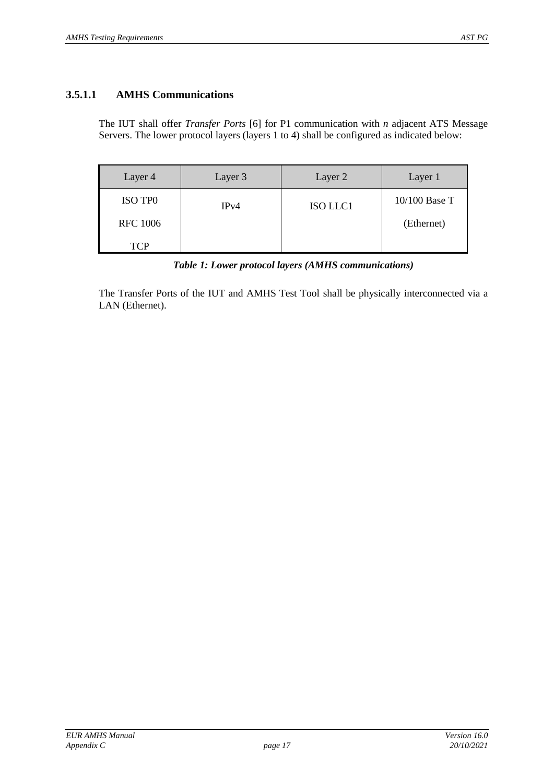#### <span id="page-16-1"></span>**3.5.1.1 AMHS Communications**

The IUT shall offer *Transfer Ports* [\[6\]](#page-4-5) for P1 communication with *n* adjacent ATS Message Servers. The lower protocol layers (layers 1 to 4) shall be configured as indicated below:

| Layer 4         | Layer 3 | Layer 2         | Layer 1         |
|-----------------|---------|-----------------|-----------------|
| ISO TPO         | IPv4    | <b>ISO LLC1</b> | $10/100$ Base T |
| <b>RFC</b> 1006 |         |                 | (Ethernet)      |
| <b>TCP</b>      |         |                 |                 |

*Table 1: Lower protocol layers (AMHS communications)*

<span id="page-16-0"></span>The Transfer Ports of the IUT and AMHS Test Tool shall be physically interconnected via a LAN (Ethernet).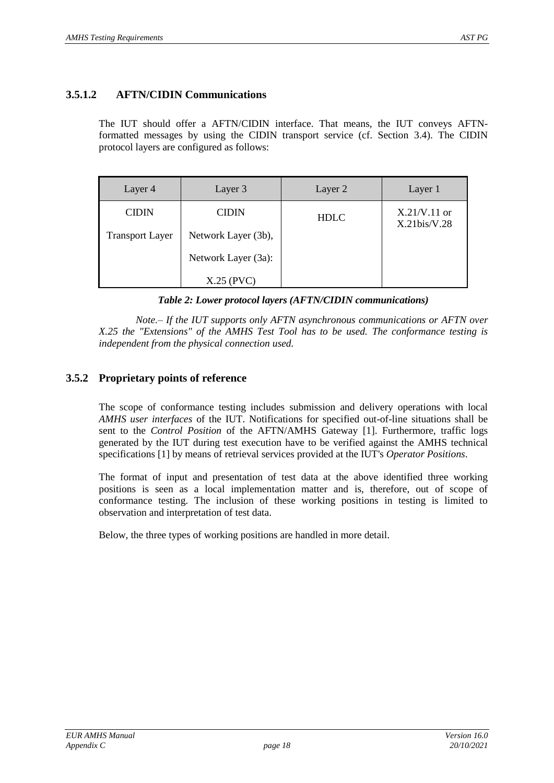#### <span id="page-17-1"></span>**3.5.1.2 AFTN/CIDIN Communications**

The IUT should offer a AFTN/CIDIN interface. That means, the IUT conveys AFTNformatted messages by using the CIDIN transport service (cf. Section [3.4\)](#page-14-1). The CIDIN protocol layers are configured as follows:

| Layer 4                | Layer 3             | Layer 2     | Layer 1                           |
|------------------------|---------------------|-------------|-----------------------------------|
| <b>CIDIN</b>           | <b>CIDIN</b>        | <b>HDLC</b> | $X.21/V.11$ or<br>$X.21$ bis/V.28 |
| <b>Transport Layer</b> | Network Layer (3b), |             |                                   |
|                        | Network Layer (3a): |             |                                   |
|                        | $X.25$ (PVC)        |             |                                   |

#### *Table 2: Lower protocol layers (AFTN/CIDIN communications)*

<span id="page-17-0"></span>*Note.– If the IUT supports only AFTN asynchronous communications or AFTN over X.25 the "Extensions" of the AMHS Test Tool has to be used. The conformance testing is independent from the physical connection used.*

#### **3.5.2 Proprietary points of reference**

The scope of conformance testing includes submission and delivery operations with local *AMHS user interfaces* of the IUT. Notifications for specified out-of-line situations shall be sent to the *Control Position* of the AFTN/AMHS Gateway [\[1\]](#page-4-3). Furthermore, traffic logs generated by the IUT during test execution have to be verified against the AMHS technical specifications [\[1\]](#page-4-3) by means of retrieval services provided at the IUT's *Operator Positions*.

The format of input and presentation of test data at the above identified three working positions is seen as a local implementation matter and is, therefore, out of scope of conformance testing. The inclusion of these working positions in testing is limited to observation and interpretation of test data.

Below, the three types of working positions are handled in more detail.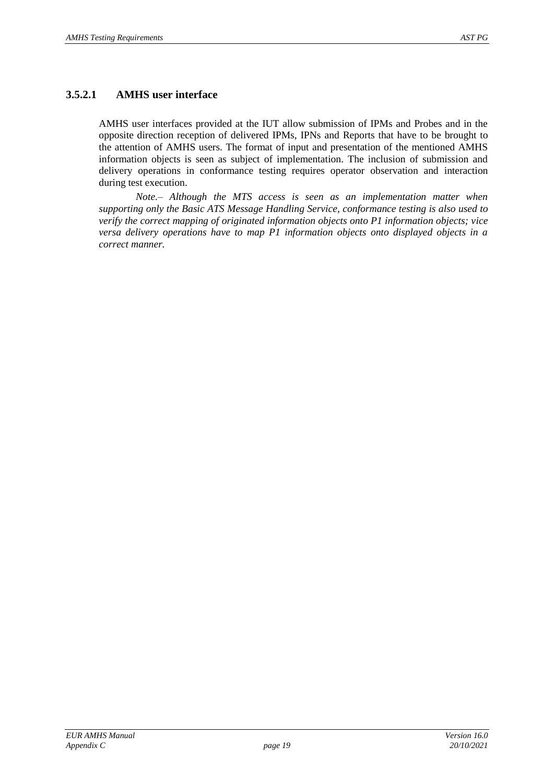#### **3.5.2.1 AMHS user interface**

AMHS user interfaces provided at the IUT allow submission of IPMs and Probes and in the opposite direction reception of delivered IPMs, IPNs and Reports that have to be brought to the attention of AMHS users. The format of input and presentation of the mentioned AMHS information objects is seen as subject of implementation. The inclusion of submission and delivery operations in conformance testing requires operator observation and interaction during test execution.

*Note.– Although the MTS access is seen as an implementation matter when supporting only the Basic ATS Message Handling Service, conformance testing is also used to verify the correct mapping of originated information objects onto P1 information objects; vice versa delivery operations have to map P1 information objects onto displayed objects in a correct manner.*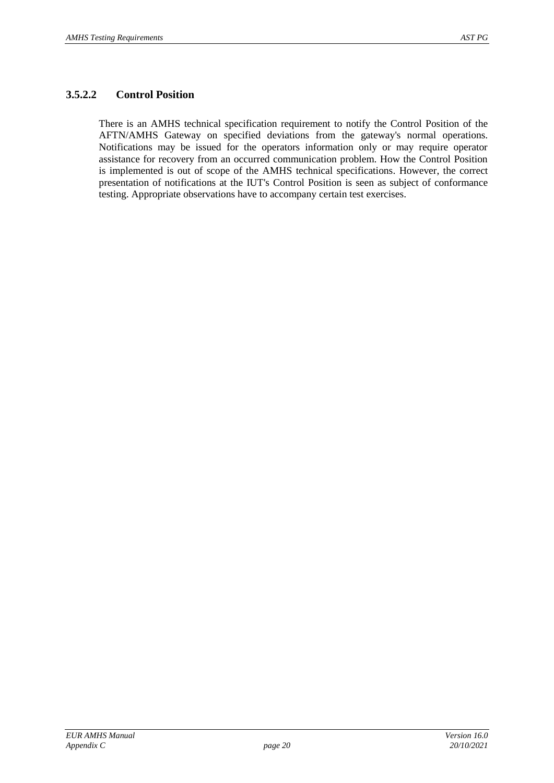#### **3.5.2.2 Control Position**

There is an AMHS technical specification requirement to notify the Control Position of the AFTN/AMHS Gateway on specified deviations from the gateway's normal operations. Notifications may be issued for the operators information only or may require operator assistance for recovery from an occurred communication problem. How the Control Position is implemented is out of scope of the AMHS technical specifications. However, the correct presentation of notifications at the IUT's Control Position is seen as subject of conformance testing. Appropriate observations have to accompany certain test exercises.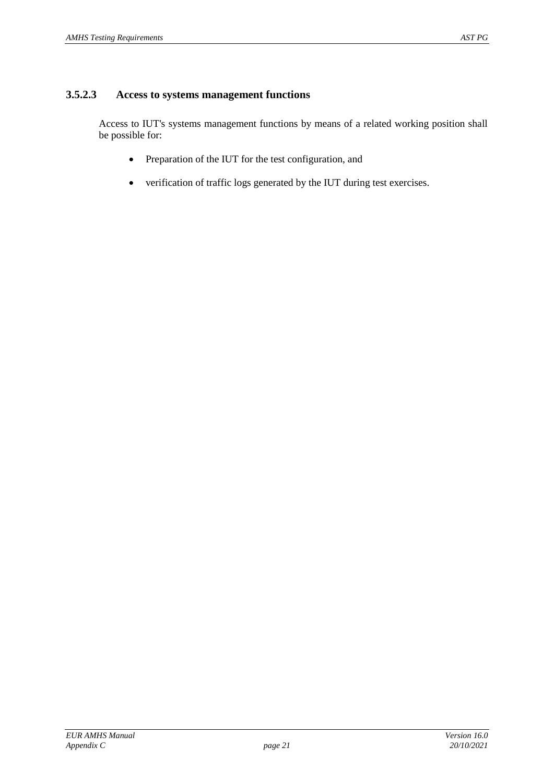#### <span id="page-20-0"></span>**3.5.2.3 Access to systems management functions**

Access to IUT's systems management functions by means of a related working position shall be possible for:

- Preparation of the IUT for the test configuration, and
- verification of traffic logs generated by the IUT during test exercises.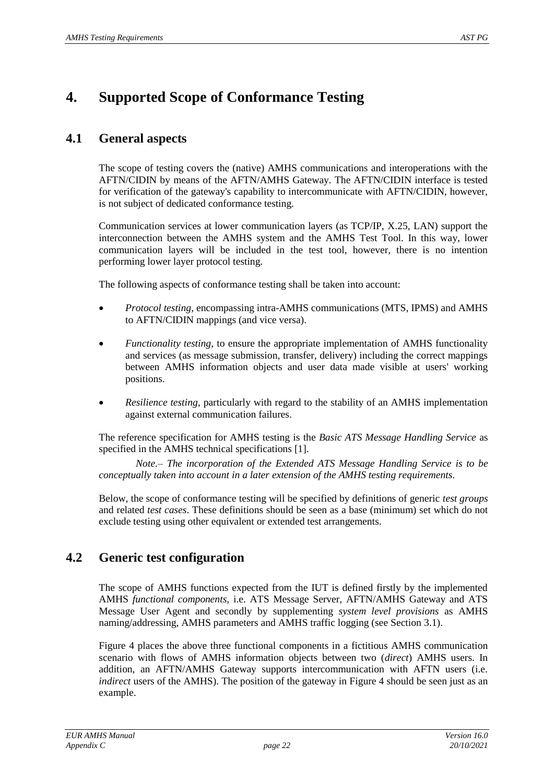## <span id="page-21-0"></span>**4. Supported Scope of Conformance Testing**

## **4.1 General aspects**

The scope of testing covers the (native) AMHS communications and interoperations with the AFTN/CIDIN by means of the AFTN/AMHS Gateway. The AFTN/CIDIN interface is tested for verification of the gateway's capability to intercommunicate with AFTN/CIDIN, however, is not subject of dedicated conformance testing.

Communication services at lower communication layers (as TCP/IP, X.25, LAN) support the interconnection between the AMHS system and the AMHS Test Tool. In this way, lower communication layers will be included in the test tool, however, there is no intention performing lower layer protocol testing.

The following aspects of conformance testing shall be taken into account:

- *Protocol testing*, encompassing intra-AMHS communications (MTS, IPMS) and AMHS to AFTN/CIDIN mappings (and vice versa).
- *Functionality testing*, to ensure the appropriate implementation of AMHS functionality and services (as message submission, transfer, delivery) including the correct mappings between AMHS information objects and user data made visible at users' working positions.
- *Resilience testing*, particularly with regard to the stability of an AMHS implementation against external communication failures.

The reference specification for AMHS testing is the *Basic ATS Message Handling Service* as specified in the AMHS technical specifications [\[1\]](#page-4-3).

*Note.– The incorporation of the Extended ATS Message Handling Service is to be conceptually taken into account in a later extension of the AMHS testing requirements.*

Below, the scope of conformance testing will be specified by definitions of generic *test groups* and related *test cases*. These definitions should be seen as a base (minimum) set which do not exclude testing using other equivalent or extended test arrangements.

### **4.2 Generic test configuration**

The scope of AMHS functions expected from the IUT is defined firstly by the implemented AMHS *functional components,* i.e. ATS Message Server, AFTN/AMHS Gateway and ATS Message User Agent and secondly by supplementing *system level provisions* as AMHS naming/addressing, AMHS parameters and AMHS traffic logging (see Section [3.1\)](#page-11-2).

[Figure 4](#page-22-0) places the above three functional components in a fictitious AMHS communication scenario with flows of AMHS information objects between two (*direct*) AMHS users. In addition, an AFTN/AMHS Gateway supports intercommunication with AFTN users (i.e. *indirect* users of the AMHS). The position of the gateway in [Figure 4](#page-22-0) should be seen just as an example.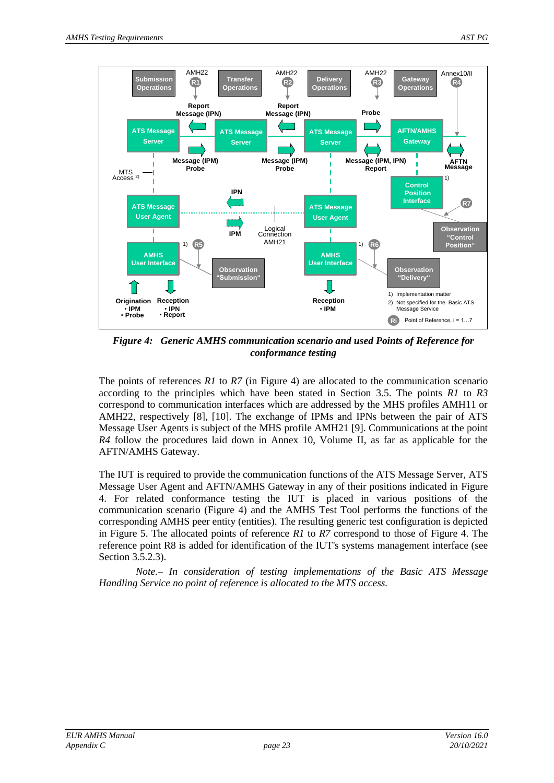

<span id="page-22-0"></span>*Figure 4: Generic AMHS communication scenario and used Points of Reference for conformance testing*

The points of references *R1* to *R7* (in [Figure 4\)](#page-22-0) are allocated to the communication scenario according to the principles which have been stated in Section [3.5.](#page-15-0) The points *R1* to *R3* correspond to communication interfaces which are addressed by the MHS profiles AMH11 or AMH22, respectively [\[8\]](#page-4-9), [\[10\]](#page-4-10). The exchange of IPMs and IPNs between the pair of ATS Message User Agents is subject of the MHS profile AMH21 [\[9\]](#page-4-11). Communications at the point *R4* follow the procedures laid down in Annex 10, Volume II, as far as applicable for the AFTN/AMHS Gateway.

The IUT is required to provide the communication functions of the ATS Message Server, ATS Message User Agent and AFTN/AMHS Gateway in any of their positions indicated in [Figure](#page-22-0)  [4.](#page-22-0) For related conformance testing the IUT is placed in various positions of the communication scenario [\(Figure 4\)](#page-22-0) and the AMHS Test Tool performs the functions of the corresponding AMHS peer entity (entities). The resulting generic test configuration is depicted in [Figure 5.](#page-23-0) The allocated points of reference *R1* to *R7* correspond to those of [Figure 4.](#page-22-0) The reference point R8 is added for identification of the IUT's systems management interface (see Section [3.5.2.3\)](#page-20-0).

*Note.– In consideration of testing implementations of the Basic ATS Message Handling Service no point of reference is allocated to the MTS access.*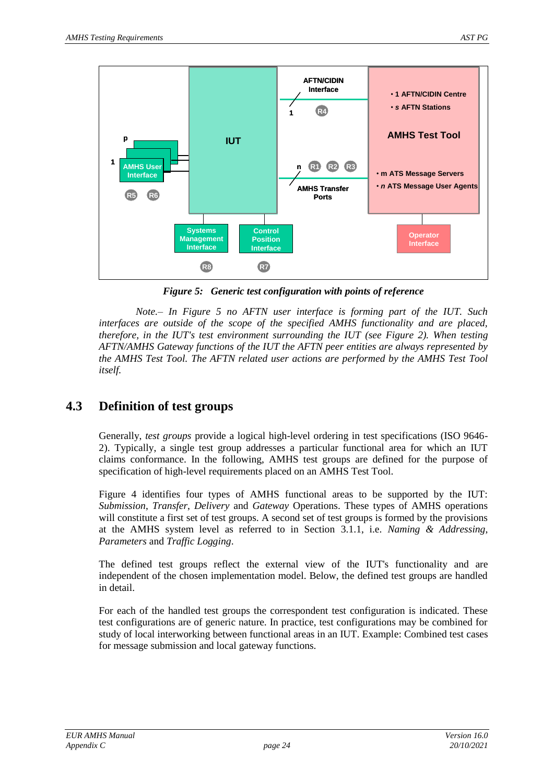

*Figure 5: Generic test configuration with points of reference*

<span id="page-23-0"></span>*Note.– In [Figure 5](#page-23-0) no AFTN user interface is forming part of the IUT. Such interfaces are outside of the scope of the specified AMHS functionality and are placed, therefore, in the IUT's test environment surrounding the IUT (see [Figure 2\)](#page-13-0). When testing AFTN/AMHS Gateway functions of the IUT the AFTN peer entities are always represented by the AMHS Test Tool. The AFTN related user actions are performed by the AMHS Test Tool itself.*

### <span id="page-23-1"></span>**4.3 Definition of test groups**

Generally, *test groups* provide a logical high-level ordering in test specifications (ISO 9646- 2). Typically, a single test group addresses a particular functional area for which an IUT claims conformance. In the following, AMHS test groups are defined for the purpose of specification of high-level requirements placed on an AMHS Test Tool.

[Figure 4](#page-22-0) identifies four types of AMHS functional areas to be supported by the IUT: *Submission*, *Transfer*, *Delivery* and *Gateway* Operations. These types of AMHS operations will constitute a first set of test groups. A second set of test groups is formed by the provisions at the AMHS system level as referred to in Section [3.1.1,](#page-11-3) i.e. *Naming & Addressing*, *Parameters* and *Traffic Logging*.

The defined test groups reflect the external view of the IUT's functionality and are independent of the chosen implementation model. Below, the defined test groups are handled in detail.

For each of the handled test groups the correspondent test configuration is indicated. These test configurations are of generic nature. In practice, test configurations may be combined for study of local interworking between functional areas in an IUT. Example: Combined test cases for message submission and local gateway functions.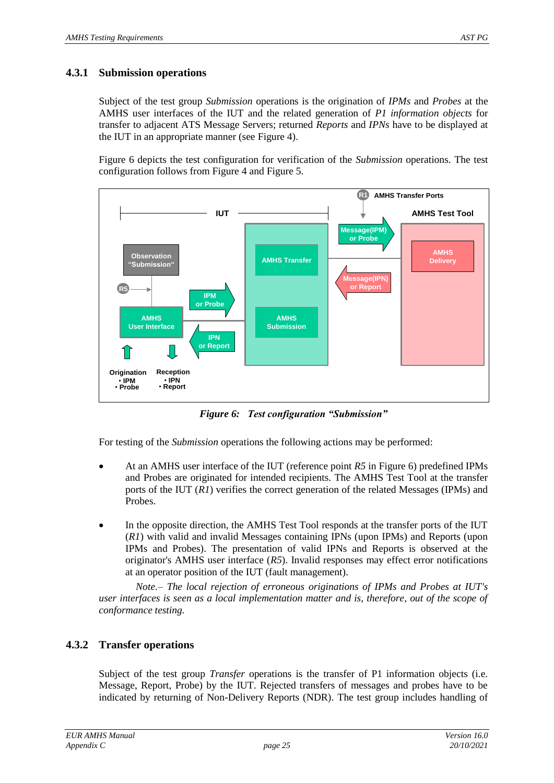#### <span id="page-24-1"></span>**4.3.1 Submission operations**

Subject of the test group *Submission* operations is the origination of *IPMs* and *Probes* at the AMHS user interfaces of the IUT and the related generation of *P1 information objects* for transfer to adjacent ATS Message Servers; returned *Reports* and *IPNs* have to be displayed at the IUT in an appropriate manner (see [Figure 4\)](#page-22-0).

[Figure 6](#page-24-0) depicts the test configuration for verification of the *Submission* operations. The test configuration follows from [Figure 4](#page-22-0) and [Figure 5.](#page-23-0)



*Figure 6: Test configuration "Submission"*

<span id="page-24-0"></span>For testing of the *Submission* operations the following actions may be performed:

- At an AMHS user interface of the IUT (reference point *R5* in [Figure 6\)](#page-24-0) predefined IPMs and Probes are originated for intended recipients. The AMHS Test Tool at the transfer ports of the IUT (*R1*) verifies the correct generation of the related Messages (IPMs) and Probes.
- In the opposite direction, the AMHS Test Tool responds at the transfer ports of the IUT (*R1*) with valid and invalid Messages containing IPNs (upon IPMs) and Reports (upon IPMs and Probes). The presentation of valid IPNs and Reports is observed at the originator's AMHS user interface (*R5*). Invalid responses may effect error notifications at an operator position of the IUT (fault management).

*Note.– The local rejection of erroneous originations of IPMs and Probes at IUT's user interfaces is seen as a local implementation matter and is, therefore, out of the scope of conformance testing.*

#### **4.3.2 Transfer operations**

Subject of the test group *Transfer* operations is the transfer of P1 information objects (i.e. Message, Report, Probe) by the IUT. Rejected transfers of messages and probes have to be indicated by returning of Non-Delivery Reports (NDR). The test group includes handling of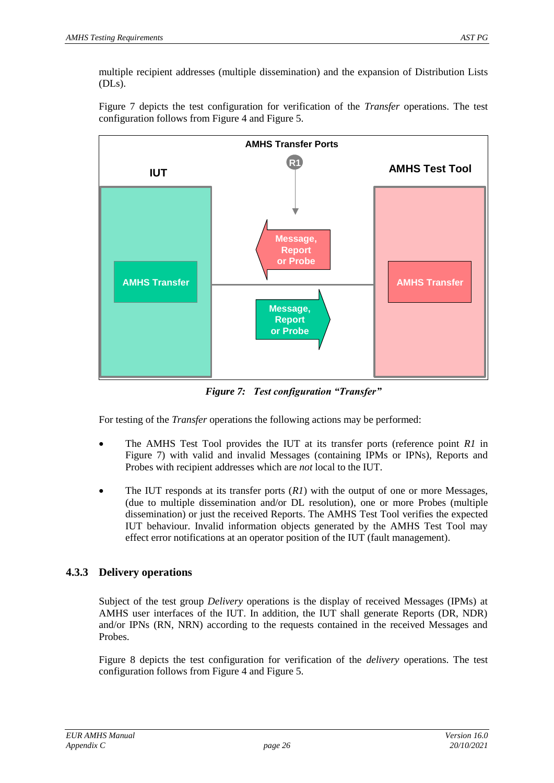multiple recipient addresses (multiple dissemination) and the expansion of Distribution Lists (DLs).

[Figure 7](#page-25-0) depicts the test configuration for verification of the *Transfer* operations. The test configuration follows from [Figure 4](#page-22-0) and [Figure 5.](#page-23-0)



*Figure 7: Test configuration "Transfer"*

<span id="page-25-0"></span>For testing of the *Transfer* operations the following actions may be performed:

- The AMHS Test Tool provides the IUT at its transfer ports (reference point *R1* in [Figure 7\)](#page-25-0) with valid and invalid Messages (containing IPMs or IPNs), Reports and Probes with recipient addresses which are *not* local to the IUT.
- The IUT responds at its transfer ports  $(RI)$  with the output of one or more Messages, (due to multiple dissemination and/or DL resolution), one or more Probes (multiple dissemination) or just the received Reports. The AMHS Test Tool verifies the expected IUT behaviour. Invalid information objects generated by the AMHS Test Tool may effect error notifications at an operator position of the IUT (fault management).

#### **4.3.3 Delivery operations**

Subject of the test group *Delivery* operations is the display of received Messages (IPMs) at AMHS user interfaces of the IUT. In addition, the IUT shall generate Reports (DR, NDR) and/or IPNs (RN, NRN) according to the requests contained in the received Messages and Probes.

[Figure 8](#page-26-0) depicts the test configuration for verification of the *delivery* operations. The test configuration follows from [Figure 4](#page-22-0) and [Figure 5.](#page-23-0)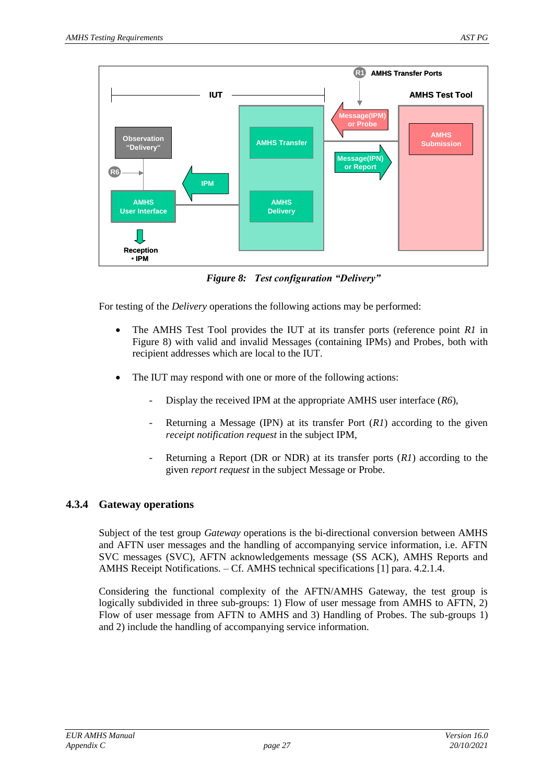

*Figure 8: Test configuration "Delivery"*

<span id="page-26-0"></span>For testing of the *Delivery* operations the following actions may be performed:

- The AMHS Test Tool provides the IUT at its transfer ports (reference point *R1* in [Figure 8\)](#page-26-0) with valid and invalid Messages (containing IPMs) and Probes, both with recipient addresses which are local to the IUT.
- The IUT may respond with one or more of the following actions:
	- Display the received IPM at the appropriate AMHS user interface (*R6*),
	- Returning a Message (IPN) at its transfer Port (*R1*) according to the given *receipt notification request* in the subject IPM,
	- Returning a Report (DR or NDR) at its transfer ports (*R1*) according to the given *report request* in the subject Message or Probe.

#### <span id="page-26-1"></span>**4.3.4 Gateway operations**

Subject of the test group *Gateway* operations is the bi-directional conversion between AMHS and AFTN user messages and the handling of accompanying service information, i.e. AFTN SVC messages (SVC), AFTN acknowledgements message (SS ACK), AMHS Reports and AMHS Receipt Notifications. – Cf. AMHS technical specifications [\[1\]](#page-4-3) para. 4.2.1.4.

Considering the functional complexity of the AFTN/AMHS Gateway, the test group is logically subdivided in three sub-groups: 1) Flow of user message from AMHS to AFTN, 2) Flow of user message from AFTN to AMHS and 3) Handling of Probes. The sub-groups 1) and 2) include the handling of accompanying service information.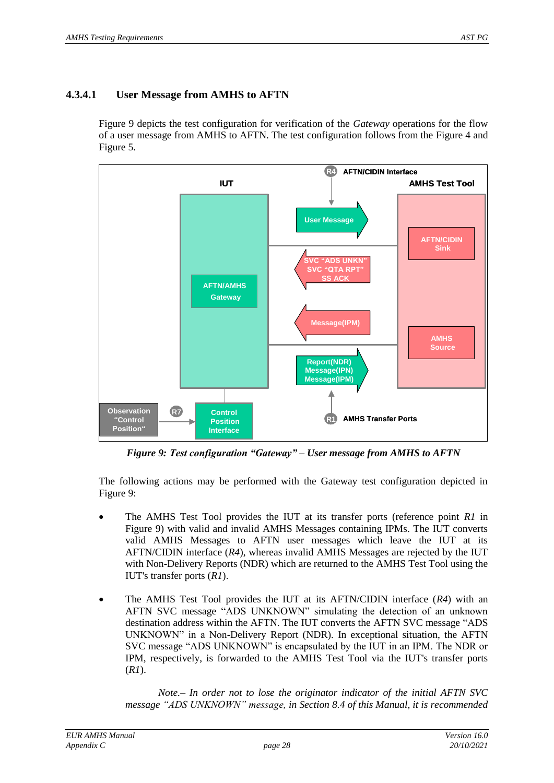#### **4.3.4.1 User Message from AMHS to AFTN**

[Figure 9](#page-27-0) depicts the test configuration for verification of the *Gateway* operations for the flow of a user message from AMHS to AFTN. The test configuration follows from the [Figure 4](#page-22-0) and [Figure 5.](#page-23-0)



*Figure 9: Test configuration "Gateway" – User message from AMHS to AFTN*

<span id="page-27-0"></span>The following actions may be performed with the Gateway test configuration depicted in [Figure 9:](#page-27-0)

- The AMHS Test Tool provides the IUT at its transfer ports (reference point *R1* in [Figure 9\)](#page-27-0) with valid and invalid AMHS Messages containing IPMs. The IUT converts valid AMHS Messages to AFTN user messages which leave the IUT at its AFTN/CIDIN interface (*R4*), whereas invalid AMHS Messages are rejected by the IUT with Non-Delivery Reports (NDR) which are returned to the AMHS Test Tool using the IUT's transfer ports (*R1*).
- The AMHS Test Tool provides the IUT at its AFTN/CIDIN interface (*R4*) with an AFTN SVC message "ADS UNKNOWN" simulating the detection of an unknown destination address within the AFTN. The IUT converts the AFTN SVC message "ADS UNKNOWN" in a Non-Delivery Report (NDR). In exceptional situation, the AFTN SVC message "ADS UNKNOWN" is encapsulated by the IUT in an IPM. The NDR or IPM, respectively, is forwarded to the AMHS Test Tool via the IUT's transfer ports (*R1*).

*Note.– In order not to lose the originator indicator of the initial AFTN SVC message "ADS UNKNOWN" message, in Section 8.4 of this Manual, it is recommended*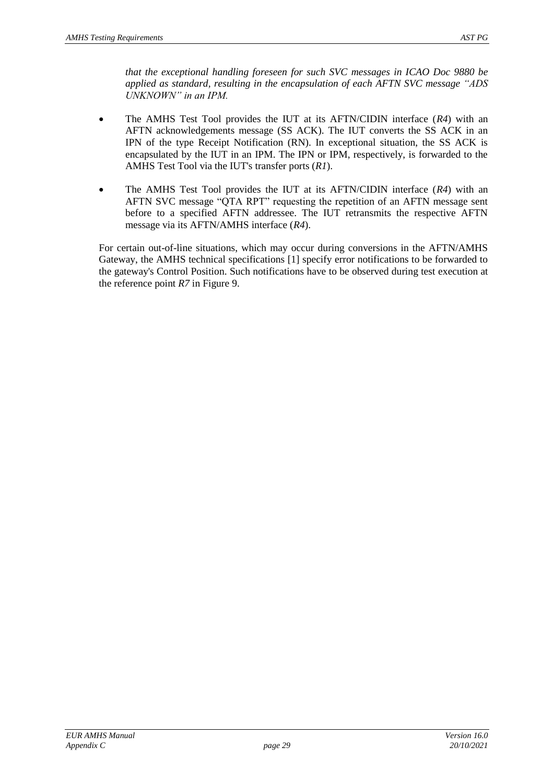*that the exceptional handling foreseen for such SVC messages in ICAO Doc 9880 be applied as standard, resulting in the encapsulation of each AFTN SVC message "ADS UNKNOWN" in an IPM.*

- The AMHS Test Tool provides the IUT at its AFTN/CIDIN interface (*R4*) with an AFTN acknowledgements message (SS ACK). The IUT converts the SS ACK in an IPN of the type Receipt Notification (RN). In exceptional situation, the SS ACK is encapsulated by the IUT in an IPM. The IPN or IPM, respectively, is forwarded to the AMHS Test Tool via the IUT's transfer ports (*R1*).
- The AMHS Test Tool provides the IUT at its AFTN/CIDIN interface (*R4*) with an AFTN SVC message "QTA RPT" requesting the repetition of an AFTN message sent before to a specified AFTN addressee. The IUT retransmits the respective AFTN message via its AFTN/AMHS interface (*R4*).

For certain out-of-line situations, which may occur during conversions in the AFTN/AMHS Gateway, the AMHS technical specifications [\[1\]](#page-4-3) specify error notifications to be forwarded to the gateway's Control Position. Such notifications have to be observed during test execution at the reference point *R7* in [Figure 9.](#page-27-0)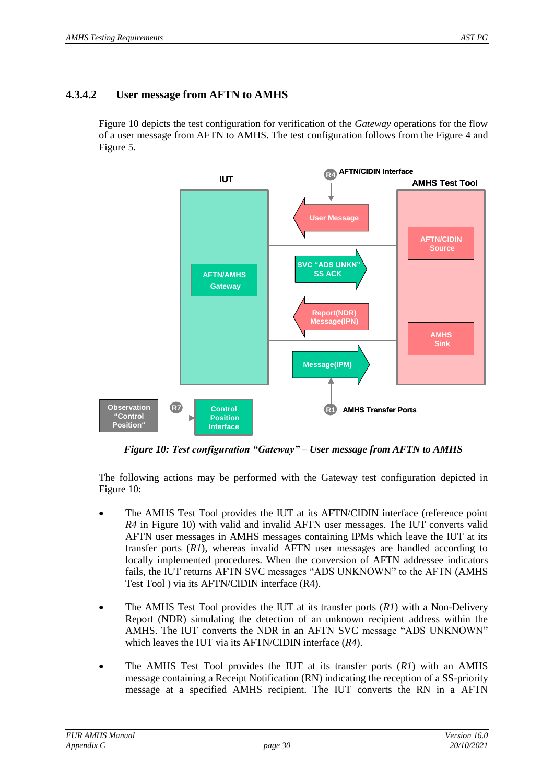#### **4.3.4.2 User message from AFTN to AMHS**

[Figure 10](#page-29-0) depicts the test configuration for verification of the *Gateway* operations for the flow of a user message from AFTN to AMHS. The test configuration follows from the [Figure 4](#page-22-0) and [Figure 5.](#page-23-0)



*Figure 10: Test configuration "Gateway" – User message from AFTN to AMHS*

<span id="page-29-0"></span>The following actions may be performed with the Gateway test configuration depicted in [Figure 10:](#page-29-0)

- The AMHS Test Tool provides the IUT at its AFTN/CIDIN interface (reference point *R4* in [Figure 10\)](#page-29-0) with valid and invalid AFTN user messages. The IUT converts valid AFTN user messages in AMHS messages containing IPMs which leave the IUT at its transfer ports (*R1*), whereas invalid AFTN user messages are handled according to locally implemented procedures. When the conversion of AFTN addressee indicators fails, the IUT returns AFTN SVC messages "ADS UNKNOWN" to the AFTN (AMHS Test Tool ) via its AFTN/CIDIN interface (R4).
- The AMHS Test Tool provides the IUT at its transfer ports (*R1*) with a Non-Delivery Report (NDR) simulating the detection of an unknown recipient address within the AMHS. The IUT converts the NDR in an AFTN SVC message "ADS UNKNOWN" which leaves the IUT via its AFTN/CIDIN interface (*R4*).
- The AMHS Test Tool provides the IUT at its transfer ports (*R1*) with an AMHS message containing a Receipt Notification (RN) indicating the reception of a SS-priority message at a specified AMHS recipient. The IUT converts the RN in a AFTN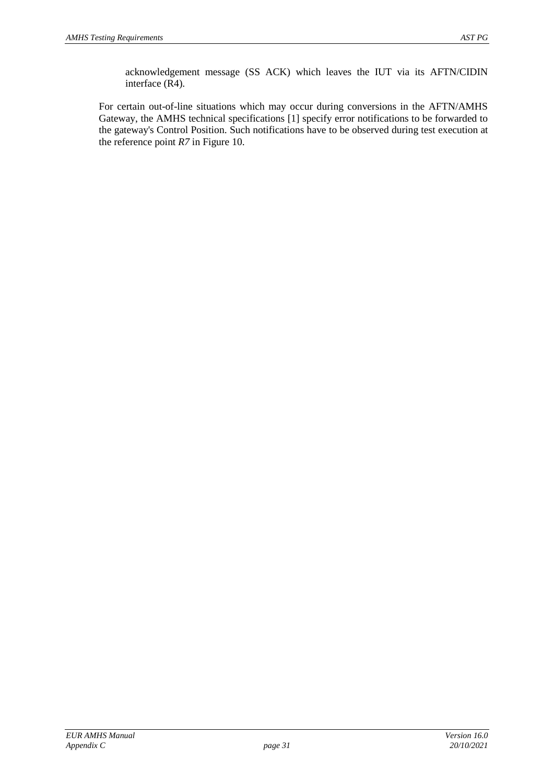acknowledgement message (SS ACK) which leaves the IUT via its AFTN/CIDIN interface (R4).

For certain out-of-line situations which may occur during conversions in the AFTN/AMHS Gateway, the AMHS technical specifications [\[1\]](#page-4-3) specify error notifications to be forwarded to the gateway's Control Position. Such notifications have to be observed during test execution at the reference point *R7* in [Figure 10.](#page-29-0)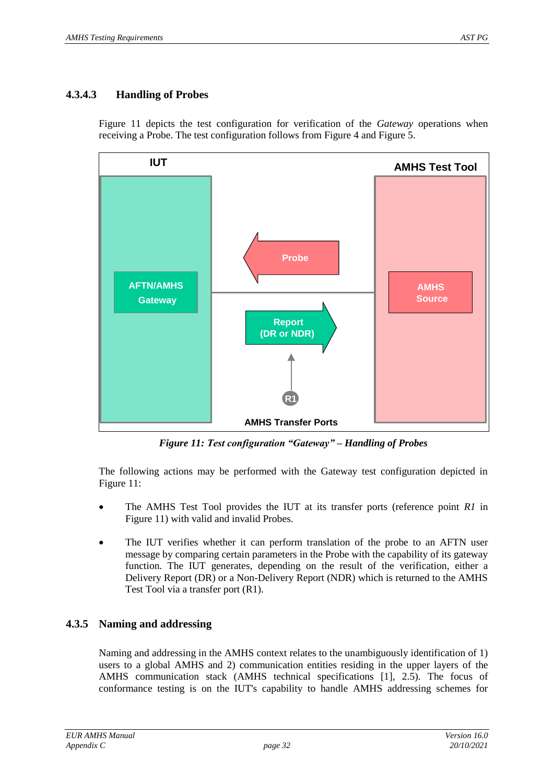#### **4.3.4.3 Handling of Probes**

[Figure 11](#page-31-0) depicts the test configuration for verification of the *Gateway* operations when receiving a Probe. The test configuration follows from [Figure 4](#page-22-0) and [Figure 5.](#page-23-0)



*Figure 11: Test configuration "Gateway" – Handling of Probes*

<span id="page-31-0"></span>The following actions may be performed with the Gateway test configuration depicted in [Figure 11:](#page-31-0)

- The AMHS Test Tool provides the IUT at its transfer ports (reference point *R1* in [Figure 11\)](#page-31-0) with valid and invalid Probes.
- The IUT verifies whether it can perform translation of the probe to an AFTN user message by comparing certain parameters in the Probe with the capability of its gateway function. The IUT generates, depending on the result of the verification, either a Delivery Report (DR) or a Non-Delivery Report (NDR) which is returned to the AMHS Test Tool via a transfer port (R1).

#### <span id="page-31-1"></span>**4.3.5 Naming and addressing**

Naming and addressing in the AMHS context relates to the unambiguously identification of 1) users to a global AMHS and 2) communication entities residing in the upper layers of the AMHS communication stack (AMHS technical specifications [\[1\]](#page-4-3), 2.5). The focus of conformance testing is on the IUT's capability to handle AMHS addressing schemes for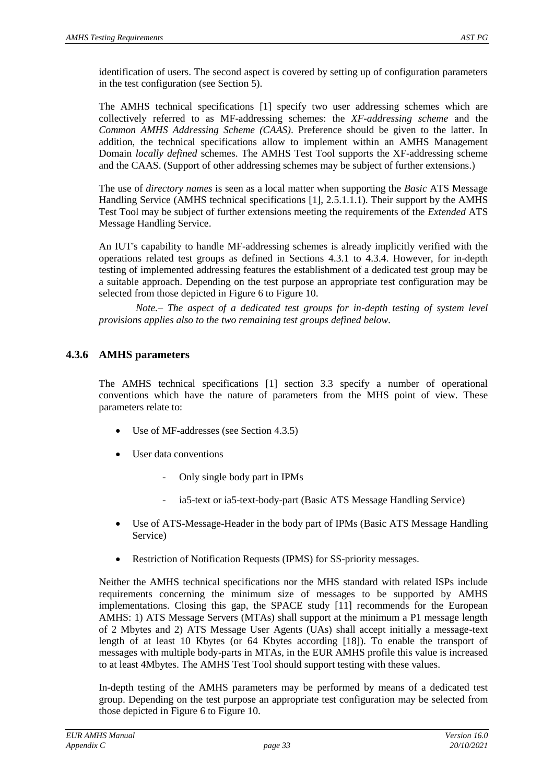identification of users. The second aspect is covered by setting up of configuration parameters in the test configuration (see Section [5\)](#page-37-0).

The AMHS technical specifications [\[1\]](#page-4-3) specify two user addressing schemes which are collectively referred to as MF-addressing schemes: the *XF-addressing scheme* and the *Common AMHS Addressing Scheme (CAAS)*. Preference should be given to the latter. In addition, the technical specifications allow to implement within an AMHS Management Domain *locally defined* schemes. The AMHS Test Tool supports the XF-addressing scheme and the CAAS. (Support of other addressing schemes may be subject of further extensions.)

The use of *directory names* is seen as a local matter when supporting the *Basic* ATS Message Handling Service (AMHS technical specifications [\[1\]](#page-4-3), 2.5.1.1.1). Their support by the AMHS Test Tool may be subject of further extensions meeting the requirements of the *Extended* ATS Message Handling Service.

An IUT's capability to handle MF-addressing schemes is already implicitly verified with the operations related test groups as defined in Sections [4.3.1](#page-24-1) to [4.3.4.](#page-26-1) However, for in-depth testing of implemented addressing features the establishment of a dedicated test group may be a suitable approach. Depending on the test purpose an appropriate test configuration may be selected from those depicted in [Figure 6](#page-24-0) to [Figure 10.](#page-29-0)

*Note.– The aspect of a dedicated test groups for in-depth testing of system level provisions applies also to the two remaining test groups defined below.*

#### **4.3.6 AMHS parameters**

The AMHS technical specifications [\[1\]](#page-4-3) section 3.3 specify a number of operational conventions which have the nature of parameters from the MHS point of view. These parameters relate to:

- Use of MF-addresses (see Section [4.3.5\)](#page-31-1)
- User data conventions
	- Only single body part in IPMs
	- ia5-text or ia5-text-body-part (Basic ATS Message Handling Service)
- Use of ATS-Message-Header in the body part of IPMs (Basic ATS Message Handling Service)
- Restriction of Notification Requests (IPMS) for SS-priority messages.

Neither the AMHS technical specifications nor the MHS standard with related ISPs include requirements concerning the minimum size of messages to be supported by AMHS implementations. Closing this gap, the SPACE study [\[11\]](#page-4-12) recommends for the European AMHS: 1) ATS Message Servers (MTAs) shall support at the minimum a P1 message length of 2 Mbytes and 2) ATS Message User Agents (UAs) shall accept initially a message-text length of at least 10 Kbytes (or 64 Kbytes according [\[18\]](#page-4-13)). To enable the transport of messages with multiple body-parts in MTAs, in the EUR AMHS profile this value is increased to at least 4Mbytes. The AMHS Test Tool should support testing with these values.

In-depth testing of the AMHS parameters may be performed by means of a dedicated test group. Depending on the test purpose an appropriate test configuration may be selected from those depicted in [Figure 6](#page-24-0) t[o Figure 10.](#page-29-0)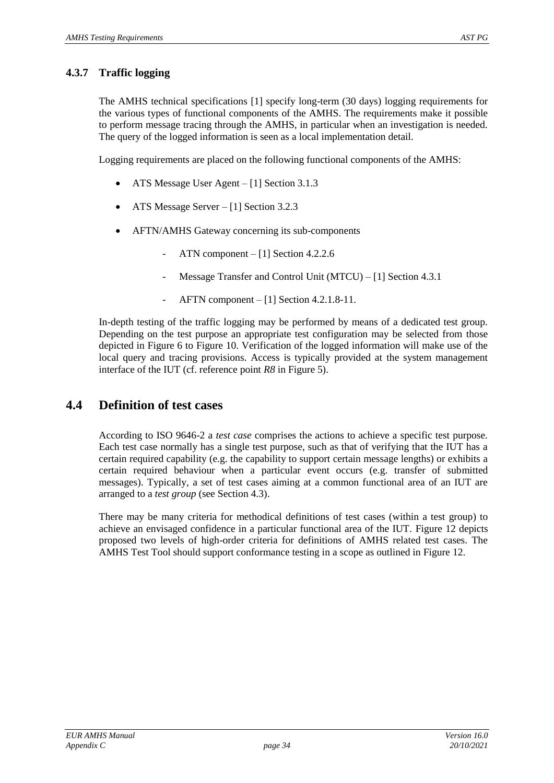#### **4.3.7 Traffic logging**

The AMHS technical specifications [\[1\]](#page-4-3) specify long-term (30 days) logging requirements for the various types of functional components of the AMHS. The requirements make it possible to perform message tracing through the AMHS, in particular when an investigation is needed. The query of the logged information is seen as a local implementation detail.

Logging requirements are placed on the following functional components of the AMHS:

- ATS Message User Agent [\[1\]](#page-4-3) Section 3.1.3
- ATS Message Server [\[1\]](#page-4-3) Section 3.2.3
- AFTN/AMHS Gateway concerning its sub-components
	- ATN component [\[1\]](#page-4-3) Section 4.2.2.6
	- Message Transfer and Control Unit (MTCU) [\[1\]](#page-4-3) Section 4.3.1
	- AFTN component  $-[1]$  $-[1]$  Section 4.2.1.8-11.

In-depth testing of the traffic logging may be performed by means of a dedicated test group. Depending on the test purpose an appropriate test configuration may be selected from those depicted in [Figure 6](#page-24-0) to [Figure 10.](#page-29-0) Verification of the logged information will make use of the local query and tracing provisions. Access is typically provided at the system management interface of the IUT (cf. reference point *R8* in [Figure 5\)](#page-23-0).

### **4.4 Definition of test cases**

According to ISO 9646-2 a *test case* comprises the actions to achieve a specific test purpose. Each test case normally has a single test purpose, such as that of verifying that the IUT has a certain required capability (e.g. the capability to support certain message lengths) or exhibits a certain required behaviour when a particular event occurs (e.g. transfer of submitted messages). Typically, a set of test cases aiming at a common functional area of an IUT are arranged to a *test group* (see Section [4.3\)](#page-23-1).

There may be many criteria for methodical definitions of test cases (within a test group) to achieve an envisaged confidence in a particular functional area of the IUT. [Figure 12](#page-34-0) depicts proposed two levels of high-order criteria for definitions of AMHS related test cases. The AMHS Test Tool should support conformance testing in a scope as outlined in [Figure 12.](#page-34-0)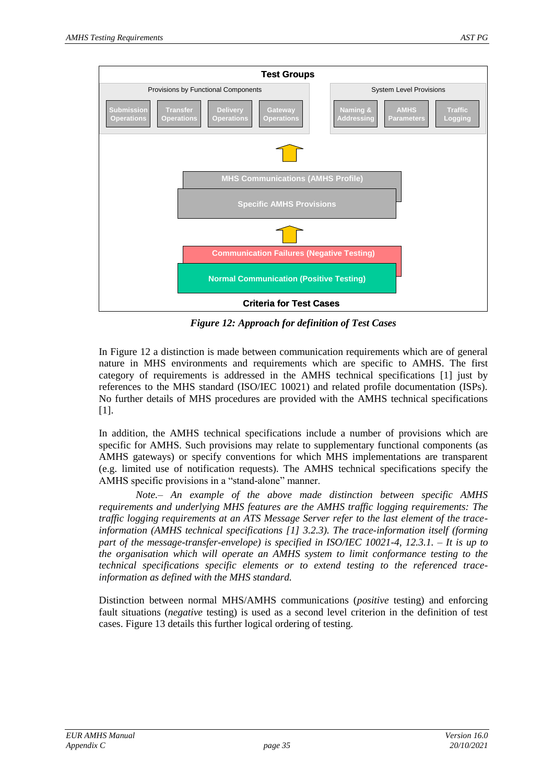

*Figure 12: Approach for definition of Test Cases*

<span id="page-34-0"></span>In [Figure 12](#page-34-0) a distinction is made between communication requirements which are of general nature in MHS environments and requirements which are specific to AMHS. The first category of requirements is addressed in the AMHS technical specifications [\[1\]](#page-4-3) just by references to the MHS standard (ISO/IEC 10021) and related profile documentation (ISPs). No further details of MHS procedures are provided with the AMHS technical specifications [\[1\]](#page-4-3).

In addition, the AMHS technical specifications include a number of provisions which are specific for AMHS. Such provisions may relate to supplementary functional components (as AMHS gateways) or specify conventions for which MHS implementations are transparent (e.g. limited use of notification requests). The AMHS technical specifications specify the AMHS specific provisions in a "stand-alone" manner.

*Note.– An example of the above made distinction between specific AMHS requirements and underlying MHS features are the AMHS traffic logging requirements: The traffic logging requirements at an ATS Message Server refer to the last element of the traceinformation (AMHS technical specifications [\[1\]](#page-4-3) 3.2.3). The trace-information itself (forming part of the message-transfer-envelope) is specified in ISO/IEC 10021-4, 12.3.1. – It is up to the organisation which will operate an AMHS system to limit conformance testing to the technical specifications specific elements or to extend testing to the referenced traceinformation as defined with the MHS standard.*

Distinction between normal MHS/AMHS communications (*positive* testing) and enforcing fault situations (*negative* testing) is used as a second level criterion in the definition of test cases. [Figure 13](#page-35-0) details this further logical ordering of testing.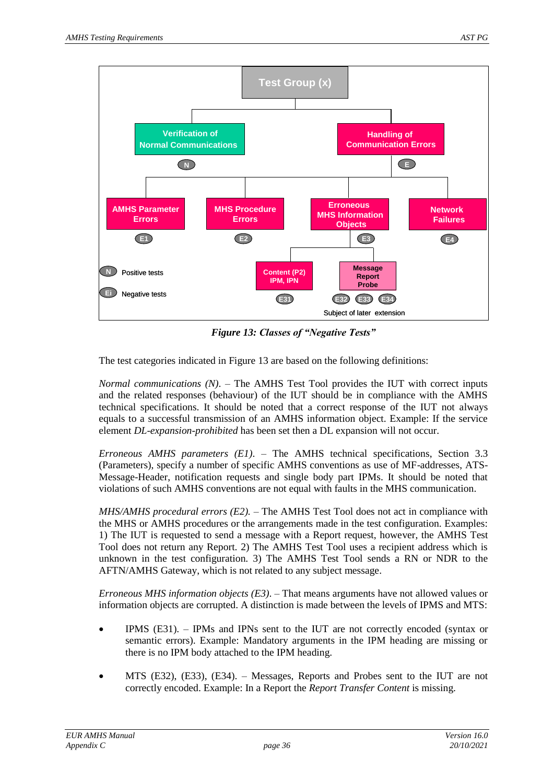

*Figure 13: Classes of "Negative Tests"*

<span id="page-35-0"></span>The test categories indicated in [Figure 13](#page-35-0) are based on the following definitions:

*Normal communications (N)*. – The AMHS Test Tool provides the IUT with correct inputs and the related responses (behaviour) of the IUT should be in compliance with the AMHS technical specifications. It should be noted that a correct response of the IUT not always equals to a successful transmission of an AMHS information object. Example: If the service element *DL-expansion-prohibited* has been set then a DL expansion will not occur.

*Erroneous AMHS parameters (E1)*. – The AMHS technical specifications, Section 3.3 (Parameters), specify a number of specific AMHS conventions as use of MF-addresses, ATS-Message-Header, notification requests and single body part IPMs. It should be noted that violations of such AMHS conventions are not equal with faults in the MHS communication.

*MHS/AMHS procedural errors (E2).* – The AMHS Test Tool does not act in compliance with the MHS or AMHS procedures or the arrangements made in the test configuration. Examples: 1) The IUT is requested to send a message with a Report request, however, the AMHS Test Tool does not return any Report. 2) The AMHS Test Tool uses a recipient address which is unknown in the test configuration. 3) The AMHS Test Tool sends a RN or NDR to the AFTN/AMHS Gateway, which is not related to any subject message.

*Erroneous MHS information objects (E3)*. – That means arguments have not allowed values or information objects are corrupted. A distinction is made between the levels of IPMS and MTS:

- IPMS (E31). IPMs and IPNs sent to the IUT are not correctly encoded (syntax or semantic errors). Example: Mandatory arguments in the IPM heading are missing or there is no IPM body attached to the IPM heading.
- MTS (E32), (E33), (E34). Messages, Reports and Probes sent to the IUT are not correctly encoded. Example: In a Report the *Report Transfer Content* is missing.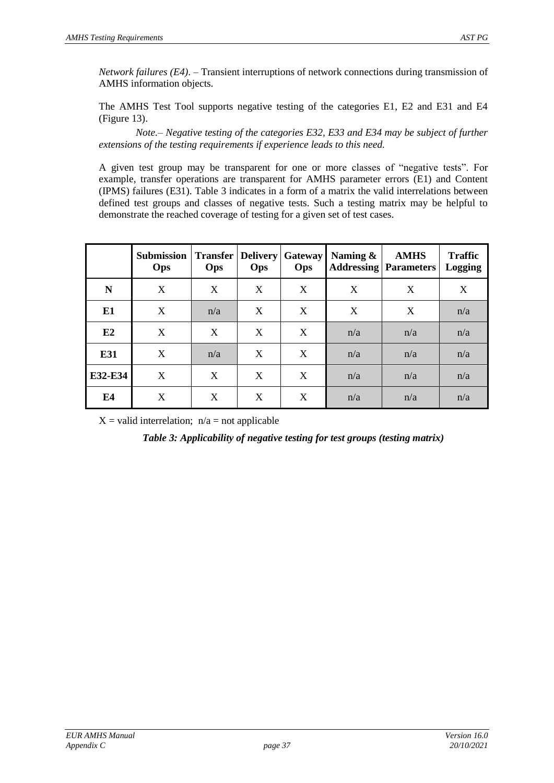*Network failures (E4)*. – Transient interruptions of network connections during transmission of AMHS information objects.

The AMHS Test Tool supports negative testing of the categories E1, E2 and E31 and E4 [\(Figure 13\)](#page-35-0).

*Note.– Negative testing of the categories E32, E33 and E34 may be subject of further extensions of the testing requirements if experience leads to this need.*

A given test group may be transparent for one or more classes of "negative tests". For example, transfer operations are transparent for AMHS parameter errors (E1) and Content (IPMS) failures (E31). [Table 3](#page-36-0) indicates in a form of a matrix the valid interrelations between defined test groups and classes of negative tests. Such a testing matrix may be helpful to demonstrate the reached coverage of testing for a given set of test cases.

|                | <b>Submission</b><br>Ops | <b>Transfer</b><br>Ops | Delivery<br>Ops | <b>Gateway</b><br>Ops | Naming $\&$ | <b>AMHS</b><br><b>Addressing Parameters</b> | <b>Traffic</b><br><b>Logging</b> |
|----------------|--------------------------|------------------------|-----------------|-----------------------|-------------|---------------------------------------------|----------------------------------|
| N              | X                        | X                      | X               | X                     | X           | X                                           | X                                |
| E <sub>1</sub> | X                        | n/a                    | X               | X                     | X           | X                                           | n/a                              |
| E2             | X                        | X                      | X               | X                     | n/a         | n/a                                         | n/a                              |
| E31            | X                        | n/a                    | X               | X                     | n/a         | n/a                                         | n/a                              |
| E32-E34        | X                        | X                      | X               | X                     | n/a         | n/a                                         | n/a                              |
| E4             | X                        | X                      | X               | X                     | n/a         | n/a                                         | n/a                              |

<span id="page-36-0"></span> $X =$  valid interrelation;  $n/a =$  not applicable

*Table 3: Applicability of negative testing for test groups (testing matrix)*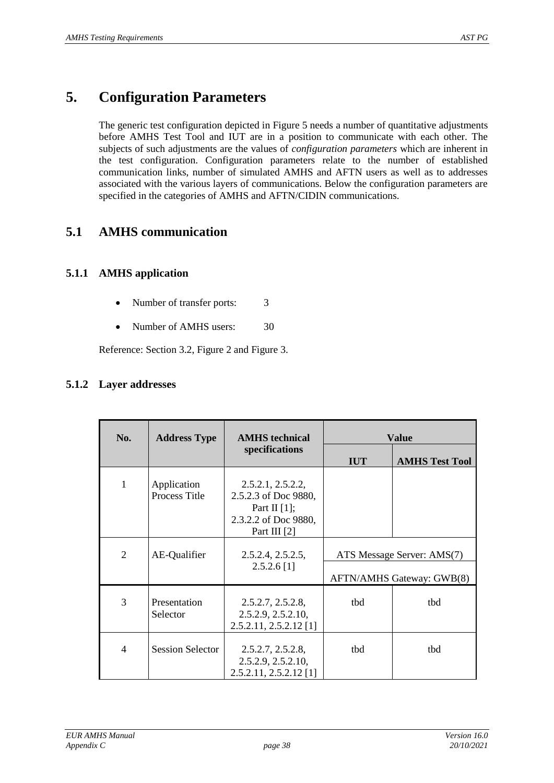## <span id="page-37-0"></span>**5. Configuration Parameters**

The generic test configuration depicted in [Figure 5](#page-23-0) needs a number of quantitative adjustments before AMHS Test Tool and IUT are in a position to communicate with each other. The subjects of such adjustments are the values of *configuration parameters* which are inherent in the test configuration. Configuration parameters relate to the number of established communication links, number of simulated AMHS and AFTN users as well as to addresses associated with the various layers of communications. Below the configuration parameters are specified in the categories of AMHS and AFTN/CIDIN communications.

### **5.1 AMHS communication**

#### **5.1.1 AMHS application**

- Number of transfer ports: 3
- Number of AMHS users: 30

Reference: Section [3.2,](#page-13-1) [Figure 2](#page-13-0) and [Figure 3.](#page-14-0)

#### **5.1.2 Layer addresses**

| No.            | <b>Address Type</b>          | <b>AMHS</b> technical                                                                                |                                                         | <b>Value</b>          |
|----------------|------------------------------|------------------------------------------------------------------------------------------------------|---------------------------------------------------------|-----------------------|
|                |                              | specifications                                                                                       | <b>IUT</b>                                              | <b>AMHS Test Tool</b> |
| 1              | Application<br>Process Title | 2.5.2.1, 2.5.2.2,<br>2.5.2.3 of Doc 9880,<br>Part II $[1]$ ;<br>2.3.2.2 of Doc 9880,<br>Part III [2] |                                                         |                       |
| $\overline{2}$ | AE-Qualifier                 | 2.5.2.4, 2.5.2.5,<br>$2.5.2.6$ [1]                                                                   | ATS Message Server: AMS(7)<br>AFTN/AMHS Gateway: GWB(8) |                       |
| 3              | Presentation<br>Selector     | 2.5.2.7, 2.5.2.8,<br>2.5.2.9, 2.5.2.10,<br>$2.5.2.11, 2.5.2.12$ [1]                                  | tbd                                                     | tbd                   |
| $\overline{4}$ | <b>Session Selector</b>      | 2.5.2.7, 2.5.2.8,<br>2.5.2.9, 2.5.2.10,<br>$2.5.2.11, 2.5.2.12$ [1]                                  | tbd                                                     | tbd                   |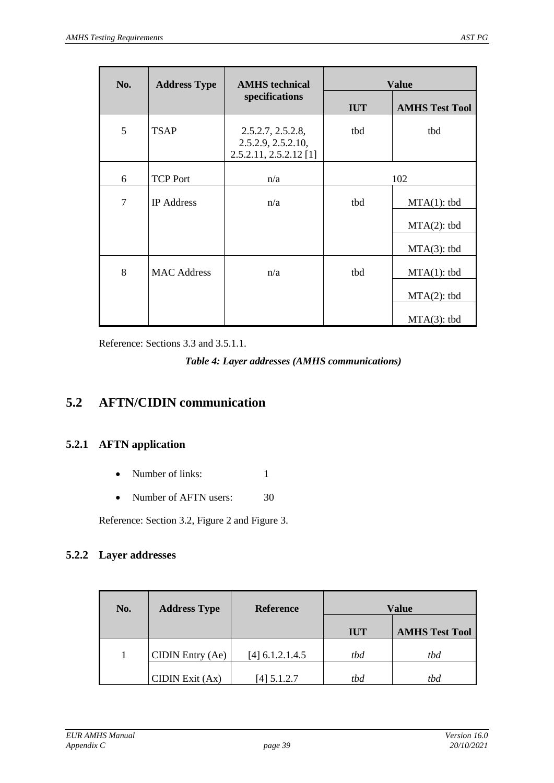| No. | <b>Address Type</b> | <b>AMHS</b> technical                                             |            | <b>Value</b>          |
|-----|---------------------|-------------------------------------------------------------------|------------|-----------------------|
|     |                     | specifications                                                    | <b>IUT</b> | <b>AMHS Test Tool</b> |
| 5   | <b>TSAP</b>         | 2.5.2.7, 2.5.2.8,<br>2.5.2.9, 2.5.2.10,<br>2.5.2.11, 2.5.2.12 [1] | tbd        | tbd                   |
| 6   | <b>TCP Port</b>     | n/a                                                               | 102        |                       |
| 7   | <b>IP</b> Address   | n/a                                                               | tbd        | $MTA(1):$ tbd         |
|     |                     |                                                                   |            | $MTA(2):$ tbd         |
|     |                     |                                                                   |            | $MTA(3):$ tbd         |
| 8   | <b>MAC Address</b>  | n/a                                                               | tbd        | $MTA(1):$ tbd         |
|     |                     |                                                                   |            | $MTA(2):$ tbd         |
|     |                     |                                                                   |            | $MTA(3):$ tbd         |

<span id="page-38-0"></span>Reference: Sections [3.3](#page-14-2) and [3.5.1.1.](#page-16-1)

*Table 4: Layer addresses (AMHS communications)*

## **5.2 AFTN/CIDIN communication**

#### **5.2.1 AFTN application**

- Number of links: 1
- Number of AFTN users: 30

Reference: Section [3.2,](#page-13-1) [Figure 2](#page-13-0) and [Figure 3.](#page-14-0)

#### **5.2.2 Layer addresses**

| No. | <b>Address Type</b> | <b>Reference</b>  | <b>Value</b> |                       |
|-----|---------------------|-------------------|--------------|-----------------------|
|     |                     |                   | <b>IUT</b>   | <b>AMHS Test Tool</b> |
|     | CIDIN Entry (Ae)    | $[4]$ 6.1.2.1.4.5 | tbd          | tbd                   |
|     | $CIDIN$ Exit $(Ax)$ | $[4]$ 5.1.2.7     | tbd          | tbd                   |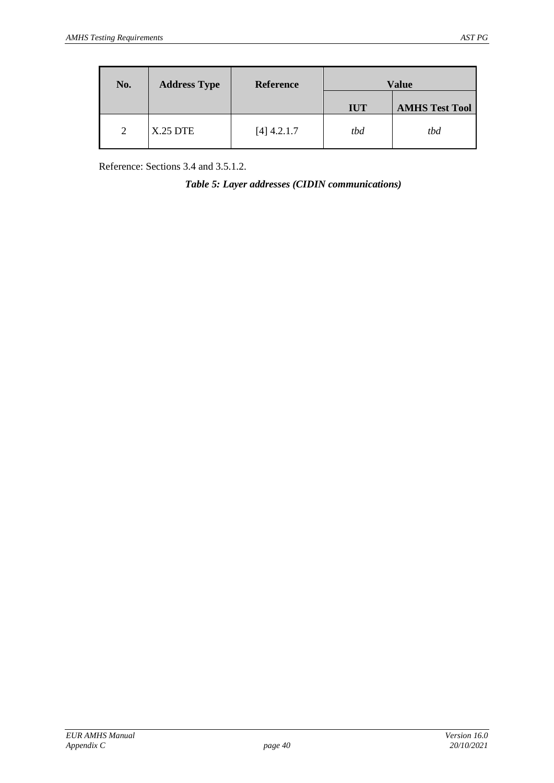| No. | <b>Address Type</b> | <b>Reference</b> | Value      |                       |
|-----|---------------------|------------------|------------|-----------------------|
|     |                     |                  | <b>IUT</b> | <b>AMHS Test Tool</b> |
| 2   | <b>X.25 DTE</b>     | $[4]$ 4.2.1.7    | tbd        | tbd                   |

<span id="page-39-0"></span>Reference: Sections [3.4](#page-14-1) and [3.5.1.2.](#page-17-1)

*Table 5: Layer addresses (CIDIN communications)*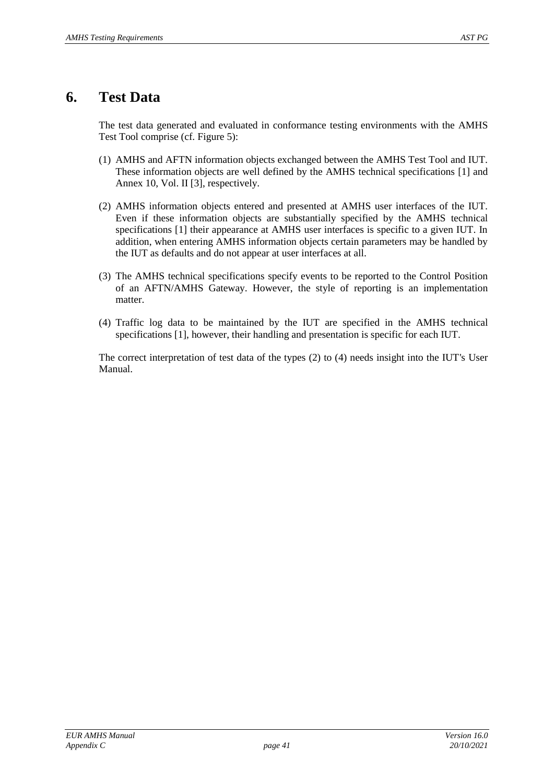## <span id="page-40-0"></span>**6. Test Data**

The test data generated and evaluated in conformance testing environments with the AMHS Test Tool comprise (cf. [Figure 5\)](#page-23-0):

- (1) AMHS and AFTN information objects exchanged between the AMHS Test Tool and IUT. These information objects are well defined by the AMHS technical specifications [\[1\]](#page-4-3) and Annex 10, Vol. II [\[3\]](#page-4-7), respectively.
- (2) AMHS information objects entered and presented at AMHS user interfaces of the IUT. Even if these information objects are substantially specified by the AMHS technical specifications [\[1\]](#page-4-3) their appearance at AMHS user interfaces is specific to a given IUT. In addition, when entering AMHS information objects certain parameters may be handled by the IUT as defaults and do not appear at user interfaces at all.
- (3) The AMHS technical specifications specify events to be reported to the Control Position of an AFTN/AMHS Gateway. However, the style of reporting is an implementation matter.
- (4) Traffic log data to be maintained by the IUT are specified in the AMHS technical specifications [\[1\]](#page-4-3), however, their handling and presentation is specific for each IUT.

The correct interpretation of test data of the types (2) to (4) needs insight into the IUT's User Manual.